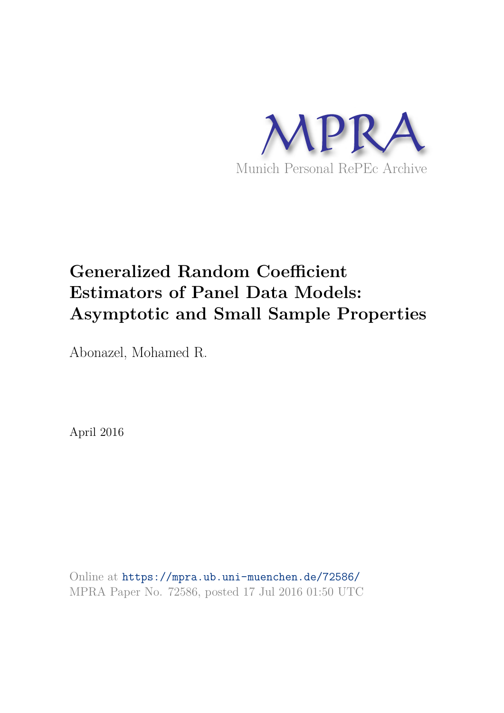

# **Generalized Random Coefficient Estimators of Panel Data Models: Asymptotic and Small Sample Properties**

Abonazel, Mohamed R.

April 2016

Online at https://mpra.ub.uni-muenchen.de/72586/ MPRA Paper No. 72586, posted 17 Jul 2016 01:50 UTC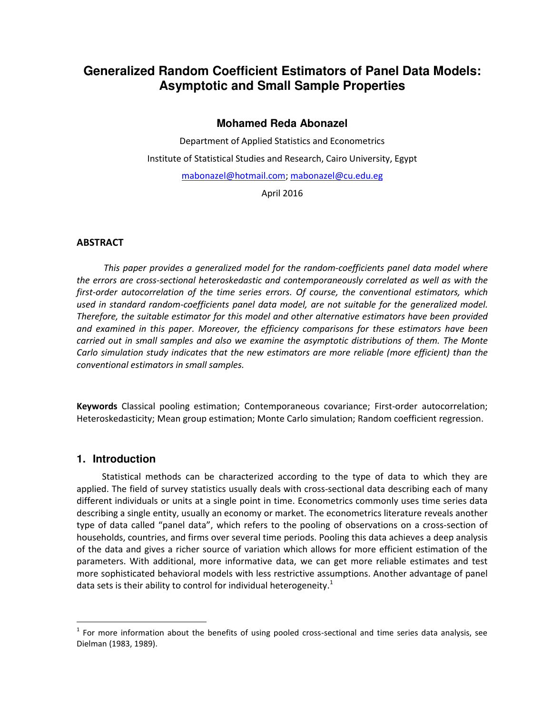# **Generalized Random Coefficient Estimators of Panel Data Models: Asymptotic and Small Sample Properties**

# **Mohamed Reda Abonazel**

Department of Applied Statistics and Econometrics Institute of Statistical Studies and Research, Cairo University, Egypt [mabonazel@hotmail.com;](mailto:mabonazel@hotmail.com) [mabonazel@cu.edu.eg](mailto:mabonazel@cu.edu.eg)

April 2016

# **ABSTRACT**

*This paper provides a generalized model for the random-coefficients panel data model where the errors are cross-sectional heteroskedastic and contemporaneously correlated as well as with the first-order autocorrelation of the time series errors. Of course, the conventional estimators, which used in standard random-coefficients panel data model, are not suitable for the generalized model. Therefore, the suitable estimator for this model and other alternative estimators have been provided and examined in this paper. Moreover, the efficiency comparisons for these estimators have been carried out in small samples and also we examine the asymptotic distributions of them. The Monte Carlo simulation study indicates that the new estimators are more reliable (more efficient) than the conventional estimators in small samples.* 

**Keywords** Classical pooling estimation; Contemporaneous covariance; First-order autocorrelation; Heteroskedasticity; Mean group estimation; Monte Carlo simulation; Random coefficient regression.

# **1. Introduction**

 $\overline{a}$ 

Statistical methods can be characterized according to the type of data to which they are applied. The field of survey statistics usually deals with cross-sectional data describing each of many different individuals or units at a single point in time. Econometrics commonly uses time series data describing a single entity, usually an economy or market. The econometrics literature reveals another type of data called "panel data", which refers to the pooling of observations on a cross-section of households, countries, and firms over several time periods. Pooling this data achieves a deep analysis of the data and gives a richer source of variation which allows for more efficient estimation of the parameters. With additional, more informative data, we can get more reliable estimates and test more sophisticated behavioral models with less restrictive assumptions. Another advantage of panel data sets is their ability to control for individual heterogeneity.<sup>1</sup>

 $1$  For more information about the benefits of using pooled cross-sectional and time series data analysis, see Dielman (1983, 1989).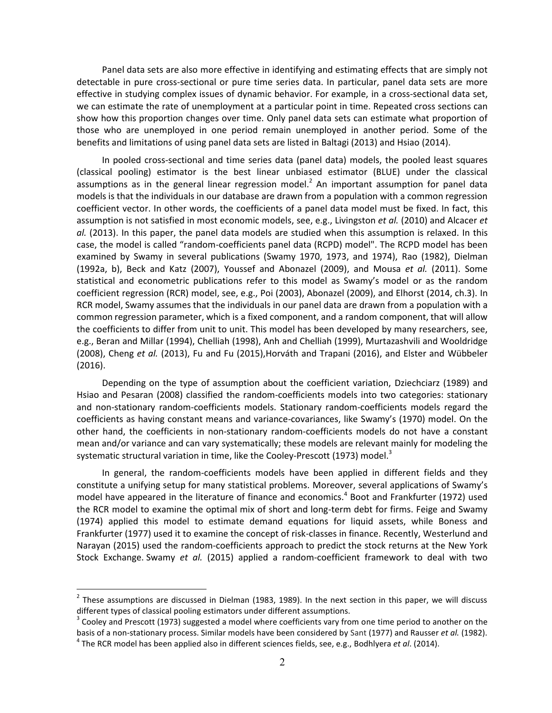Panel data sets are also more effective in identifying and estimating effects that are simply not detectable in pure cross-sectional or pure time series data. In particular, panel data sets are more effective in studying complex issues of dynamic behavior. For example, in a cross-sectional data set, we can estimate the rate of unemployment at a particular point in time. Repeated cross sections can show how this proportion changes over time. Only panel data sets can estimate what proportion of those who are unemployed in one period remain unemployed in another period. Some of the benefits and limitations of using panel data sets are listed in Baltagi (2013) and Hsiao (2014).

In pooled cross-sectional and time series data (panel data) models, the pooled least squares (classical pooling) estimator is the best linear unbiased estimator (BLUE) under the classical assumptions as in the general linear regression model. $<sup>2</sup>$  An important assumption for panel data</sup> models is that the individuals in our database are drawn from a population with a common regression coefficient vector. In other words, the coefficients of a panel data model must be fixed. In fact, this assumption is not satisfied in most economic models, see, e.g., Livingston *et al.* (2010) and Alcacer *et al.* (2013). In this paper, the panel data models are studied when this assumption is relaxed. In this case, the model is called "random-coefficients panel data (RCPD) model". The RCPD model has been examined by Swamy in several publications (Swamy 1970, 1973, and 1974), Rao (1982), Dielman (1992a, b), Beck and Katz (2007), Youssef and Abonazel (2009), and Mousa *et al.* (2011). Some statistical and econometric publications refer to this model as Swamy's model or as the random coefficient regression (RCR) model, see, e.g., Poi (2003), Abonazel (2009), and Elhorst (2014, ch.3). In RCR model, Swamy assumes that the individuals in our panel data are drawn from a population with a common regression parameter, which is a fixed component, and a random component, that will allow the coefficients to differ from unit to unit. This model has been developed by many researchers, see, e.g., Beran and Millar (1994), Chelliah (1998), Anh and Chelliah (1999), Murtazashvili and Wooldridge (2008), Cheng *et al.* (2013), Fu and Fu (2015),Horváth and Trapani (2016), and Elster and Wübbeler (2016).

Depending on the type of assumption about the coefficient variation, Dziechciarz (1989) and Hsiao and Pesaran (2008) classified the random-coefficients models into two categories: stationary and non-stationary random-coefficients models. Stationary random-coefficients models regard the coefficients as having constant means and variance-covariances, like Swamy's (1970) model. On the other hand, the coefficients in non-stationary random-coefficients models do not have a constant mean and/or variance and can vary systematically; these models are relevant mainly for modeling the systematic structural variation in time, like the Cooley-Prescott (1973) model.<sup>3</sup>

In general, the random-coefficients models have been applied in different fields and they constitute a unifying setup for many statistical problems. Moreover, several applications of Swamy's model have appeared in the literature of finance and economics.<sup>4</sup> Boot and Frankfurter (1972) used the RCR model to examine the optimal mix of short and long-term debt for firms. Feige and Swamy (1974) applied this model to estimate demand equations for liquid assets, while Boness and Frankfurter (1977) used it to examine the concept of risk-classes in finance. Recently, Westerlund and Narayan (2015) used the random-coefficients approach to predict the stock returns at the New York Stock Exchange. Swamy *et al.* (2015) applied a random-coefficient framework to deal with two

l.

 $^2$  These assumptions are discussed in Dielman (1983, 1989). In the next section in this paper, we will discuss different types of classical pooling estimators under different assumptions.

 $3$  Cooley and Prescott (1973) suggested a model where coefficients vary from one time period to another on the basis of a non-stationary process. Similar models have been considered by Sant (1977) and Rausser *et al.* (1982). 4 The RCR model has been applied also in different sciences fields, see, e.g., Bodhlyera *et al*. (2014).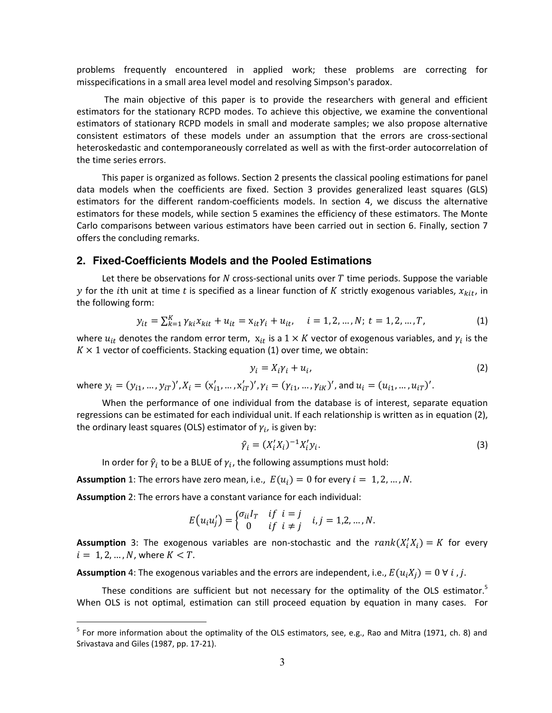problems frequently encountered in applied work; these problems are correcting for misspecifications in a small area level model and resolving Simpson's paradox.

 The main objective of this paper is to provide the researchers with general and efficient estimators for the stationary RCPD modes. To achieve this objective, we examine the conventional estimators of stationary RCPD models in small and moderate samples; we also propose alternative consistent estimators of these models under an assumption that the errors are cross-sectional heteroskedastic and contemporaneously correlated as well as with the first-order autocorrelation of the time series errors.

This paper is organized as follows. Section 2 presents the classical pooling estimations for panel data models when the coefficients are fixed. Section 3 provides generalized least squares (GLS) estimators for the different random-coefficients models. In section 4, we discuss the alternative estimators for these models, while section 5 examines the efficiency of these estimators. The Monte Carlo comparisons between various estimators have been carried out in section 6. Finally, section 7 offers the concluding remarks.

#### **2. Fixed-Coefficients Models and the Pooled Estimations**

Let there be observations for N cross-sectional units over  $T$  time periods. Suppose the variable y for the *i*th unit at time t is specified as a linear function of K strictly exogenous variables,  $x_{kit}$ , in the following form:

$$
y_{it} = \sum_{k=1}^{K} \gamma_{ki} x_{kit} + u_{it} = x_{it} \gamma_i + u_{it}, \quad i = 1, 2, ..., N; t = 1, 2, ..., T,
$$
 (1)

where  $u_{it}$  denotes the random error term,  $x_{it}$  is a  $1 \times K$  vector of exogenous variables, and  $\gamma_i$  is the  $K \times 1$  vector of coefficients. Stacking equatio[n \(1\)](#page-3-0) over time, we obtain:

<span id="page-3-1"></span><span id="page-3-0"></span>
$$
y_i = X_i \gamma_i + u_i, \tag{2}
$$

where  $y_i = (y_{i1}, ..., y_{iT})', X_i = (x'_{i1}, ..., x'_{iT})', \gamma_i = (\gamma_{i1}, ..., \gamma_{iK})'$ , and  $u_i = (u_{i1}, ..., u_{iT})'$ .

When the performance of one individual from the database is of interest, separate equation regressions can be estimated for each individual unit. If each relationship is written as in equation [\(2\),](#page-3-1) the ordinary least squares (OLS) estimator of  $\gamma_i$ , is given by:

<span id="page-3-2"></span>
$$
\hat{\gamma}_i = (X_i' X_i)^{-1} X_i' y_i. \tag{3}
$$

In order for  $\hat{\gamma}_i$  to be a BLUE of  $\gamma_i$ , the following assumptions must hold:

**Assumption** 1: The errors have zero mean, i.e.,  $E(u_i) = 0$  for every  $i = 1, 2, ..., N$ .

**Assumption** 2: The errors have a constant variance for each individual:

 $\overline{a}$ 

$$
E(u_iu'_j) = \begin{cases} \sigma_{ii}I_T & \text{if } i = j \\ 0 & \text{if } i \neq j \end{cases} i, j = 1,2,...,N.
$$

**Assumption** 3: The exogenous variables are non-stochastic and the  $rank(X'_iX_i) = K$  for every  $i = 1, 2, ..., N$ , where  $K < T$ .

**Assumption** 4: The exogenous variables and the errors are independent, i.e.,  $E(u_iX_i) = 0 \forall i$ , j.

These conditions are sufficient but not necessary for the optimality of the OLS estimator.<sup>5</sup> When OLS is not optimal, estimation can still proceed equation by equation in many cases. For

<sup>&</sup>lt;sup>5</sup> For more information about the optimality of the OLS estimators, see, e.g., Rao and Mitra (1971, ch. 8) and Srivastava and Giles (1987, pp. 17-21).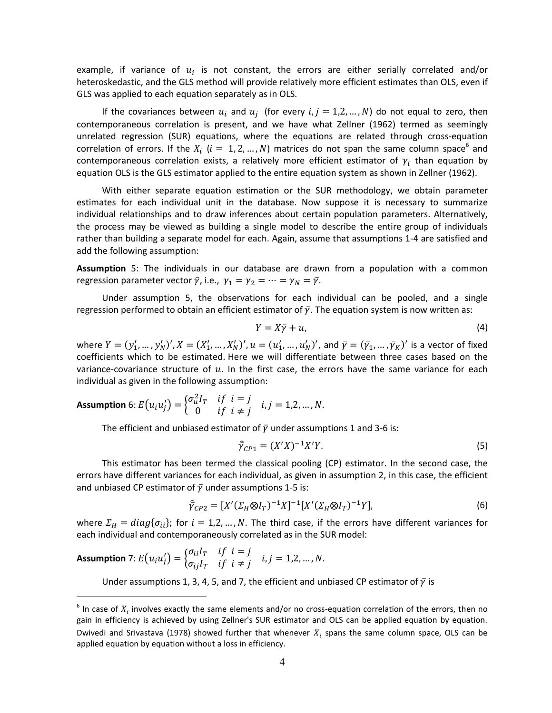example, if variance of  $u_i$  is not constant, the errors are either serially correlated and/or heteroskedastic, and the GLS method will provide relatively more efficient estimates than OLS, even if GLS was applied to each equation separately as in OLS.

If the covariances between  $u_i$  and  $u_j$  (for every  $i, j = 1, 2, ..., N$ ) do not equal to zero, then contemporaneous correlation is present, and we have what Zellner (1962) termed as seemingly unrelated regression (SUR) equations, where the equations are related through cross-equation correlation of errors. If the  $X_i$   $(i = 1, 2, ..., N)$  matrices do not span the same column space<sup>6</sup> and contemporaneous correlation exists, a relatively more efficient estimator of  $\gamma_i$  than equation by equation OLS is the GLS estimator applied to the entire equation system as shown in Zellner (1962).

With either separate equation estimation or the SUR methodology, we obtain parameter estimates for each individual unit in the database. Now suppose it is necessary to summarize individual relationships and to draw inferences about certain population parameters. Alternatively, the process may be viewed as building a single model to describe the entire group of individuals rather than building a separate model for each. Again, assume that assumptions 1-4 are satisfied and add the following assumption:

**Assumption** 5: The individuals in our database are drawn from a population with a common regression parameter vector  $\bar{\gamma}$ , i.e.,  $\gamma_1 = \gamma_2 = \cdots = \gamma_N = \bar{\gamma}$ .

Under assumption 5, the observations for each individual can be pooled, and a single regression performed to obtain an efficient estimator of  $\bar{y}$ . The equation system is now written as:

<span id="page-4-0"></span>
$$
Y = X\bar{\gamma} + u,\tag{4}
$$

where  $Y = (y'_1, ..., y'_N)'$ ,  $X = (X'_1, ..., X'_N)'$ ,  $u = (u'_1, ..., u'_N)'$ , and  $\bar{y} = (\bar{y}_1, ..., \bar{y}_K)'$  is a vector of fixed coefficients which to be estimated. Here we will differentiate between three cases based on the variance-covariance structure of  $u$ . In the first case, the errors have the same variance for each individual as given in the following assumption:

**Assumption** 6: 
$$
E(u_i u'_j) = \begin{cases} \sigma_u^2 I_T & \text{if } i = j \\ 0 & \text{if } i \neq j \end{cases}
$$
 i,  $j = 1, 2, ..., N$ .

The efficient and unbiased estimator of  $\bar{y}$  under assumptions 1 and 3-6 is:

$$
\hat{\gamma}_{CP1} = (X'X)^{-1}X'Y.
$$
\n(5)

This estimator has been termed the classical pooling (CP) estimator. In the second case, the errors have different variances for each individual, as given in assumption 2, in this case, the efficient and unbiased CP estimator of  $\bar{y}$  under assumptions 1-5 is:

$$
\hat{\overline{\gamma}}_{CP2} = [X'(\Sigma_H \otimes I_T)^{-1}X]^{-1}[X'(\Sigma_H \otimes I_T)^{-1}Y],
$$
\n(6)

where  $\Sigma_H = diag\{\sigma_{ii}\}\$ ; for  $i = 1, 2, ..., N$ . The third case, if the errors have different variances for each individual and contemporaneously correlated as in the SUR model:

**Assumption** 7: 
$$
E(u_i u'_j) = \begin{cases} \sigma_{ii} I_T & \text{if } i = j \\ \sigma_{ij} I_T & \text{if } i \neq j \end{cases}
$$
 i,  $j = 1, 2, ..., N$ .

l.

Under assumptions 1, 3, 4, 5, and 7, the efficient and unbiased CP estimator of  $\bar{y}$  is

 $^6$  In case of  $X_i$  involves exactly the same elements and/or no cross-equation correlation of the errors, then no gain in efficiency is achieved by using Zellner's SUR estimator and OLS can be applied equation by equation. Dwivedi and Srivastava (1978) showed further that whenever  $X_i$  spans the same column space, OLS can be applied equation by equation without a loss in efficiency.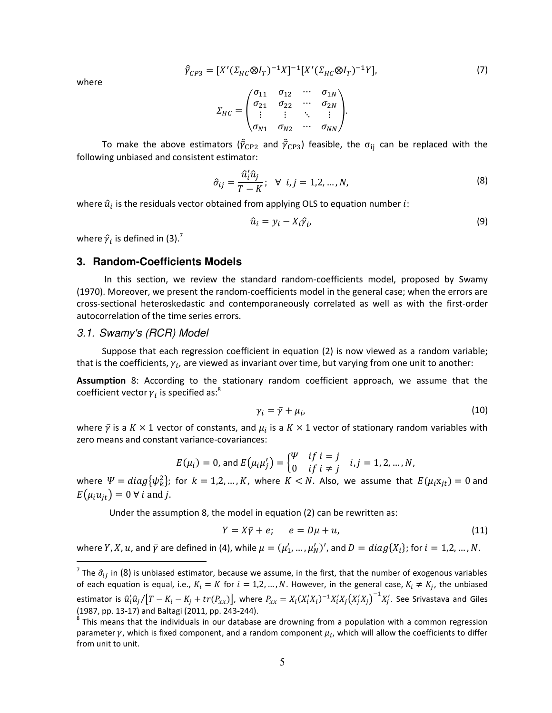$$
\hat{\bar{\gamma}}_{CP3} = [X'(\Sigma_{HC} \otimes I_T)^{-1}X]^{-1}[X'(\Sigma_{HC} \otimes I_T)^{-1}Y],
$$
\n(7)

where

$$
\Sigma_{HC} = \begin{pmatrix}\n\sigma_{11} & \sigma_{12} & \cdots & \sigma_{1N} \\
\sigma_{21} & \sigma_{22} & \cdots & \sigma_{2N} \\
\vdots & \vdots & \ddots & \vdots \\
\sigma_{N1} & \sigma_{N2} & \cdots & \sigma_{NN}\n\end{pmatrix}.
$$

To make the above estimators ( $\hat{\bar{\gamma}}_{\text{CP2}}$  and  $\hat{\bar{\gamma}}_{\text{CP3}}$ ) feasible, the  $\sigma_{\text{ij}}$  can be replaced with the following unbiased and consistent estimator:

$$
\hat{\sigma}_{ij} = \frac{\hat{u}_i' \hat{u}_j}{T - K}; \quad \forall \ i, j = 1, 2, \dots, N,
$$
\n(8)

where  $\hat{u}_i$  is the residuals vector obtained from applying OLS to equation number  $i$ :

<span id="page-5-1"></span>
$$
\hat{u}_i = y_i - X_i \hat{\gamma}_i, \tag{9}
$$

where  $\hat{\gamma}_i$  is defined in [\(3\).](#page-3-2)<sup>7</sup>

#### **3. Random-Coefficients Models**

 In this section, we review the standard random-coefficients model, proposed by Swamy (1970). Moreover, we present the random-coefficients model in the general case; when the errors are cross-sectional heteroskedastic and contemporaneously correlated as well as with the first-order autocorrelation of the time series errors.

#### *3.1. Swamy's (RCR) Model*

Suppose that each regression coefficient in equation [\(2\)](#page-3-1) is now viewed as a random variable; that is the coefficients,  $\gamma_i$ , are viewed as invariant over time, but varying from one unit to another:

**Assumption** 8: According to the stationary random coefficient approach, we assume that the coefficient vector  $\gamma_i$  is specified as:<sup>8</sup>

$$
\gamma_i = \bar{\gamma} + \mu_i, \tag{10}
$$

where  $\bar{y}$  is a  $K \times 1$  vector of constants, and  $\mu_i$  is a  $K \times 1$  vector of stationary random variables with zero means and constant variance-covariances:

$$
E(\mu_i) = 0
$$
, and  $E(\mu_i \mu'_j) = \begin{cases} \frac{\Psi}{\Psi} & \text{if } i = j \\ 0 & \text{if } i \neq j \end{cases}$  *i*, *j* = 1, 2, ..., *N*,

where  $\Psi = diag{\psi_k^2};$  for  $k = 1, 2, ..., K$ , where  $K < N$ . Also, we assume that  $E(\mu_i x_{jt}) = 0$  and  $E(\mu_i u_{it}) = 0 \,\forall \, i$  and j.

Under the assumption 8, the model in equatio[n \(2\)](#page-3-1) can be rewritten as:

<span id="page-5-0"></span>
$$
Y = X\overline{y} + e; \qquad e = D\mu + u,\tag{11}
$$

where Y, X, u, and  $\bar{y}$  are defined i[n \(4\),](#page-4-0) while  $\mu = (\mu'_1, ..., \mu'_N)'$ , and  $D = diag\{X_i\}$ ; for  $i = 1, 2, ..., N$ .  $\overline{a}$ 

<sup>&</sup>lt;sup>7</sup> The  $\hat{\sigma}_{ij}$  in (8) is unbiased estimator, because we assume, in the first, that the number of exogenous variables of each equation is equal, i.e.,  $K_i = K$  for  $i = 1, 2, ..., N$ . However, in the general case,  $K_i \neq K_j$ , the unbiased estimator is  $\hat{u}'_i\hat{u}_j/[T-K_i-K_j+tr(P_{xx})]$ , where  $P_{xx}=X_i(X_i'X_i)^{-1}X_i'X_j(X_j'X_j)^{-1}X_j'$ . See Srivastava and Giles (1987, pp. 13-17) and Baltagi (2011, pp. 243-244).

 $^8$  This means that the individuals in our database are drowning from a population with a common regression parameter  $\bar{\gamma}$ , which is fixed component, and a random component  $\mu_i$ , which will allow the coefficients to differ from unit to unit.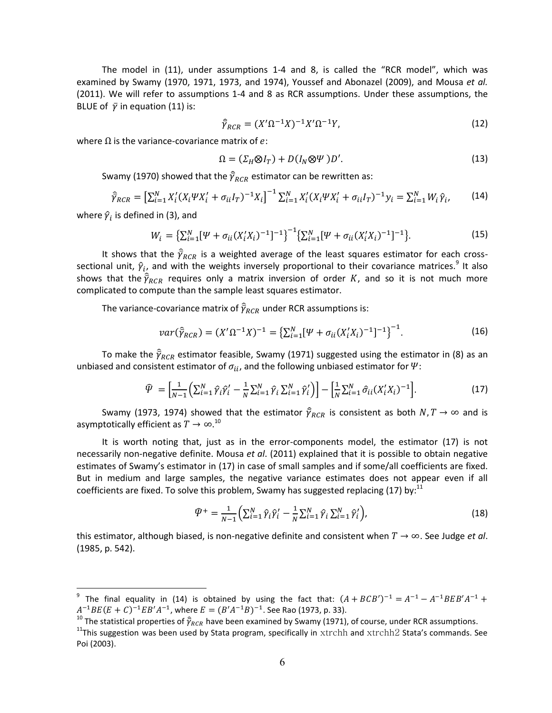The model in [\(11\),](#page-5-0) under assumptions 1-4 and 8, is called the "RCR model", which was examined by Swamy (1970, 1971, 1973, and 1974), Youssef and Abonazel (2009), and Mousa *et al.* (2011). We will refer to assumptions 1-4 and 8 as RCR assumptions. Under these assumptions, the BLUE of  $\bar{y}$  in equatio[n \(11\)](#page-5-0) is:

<span id="page-6-2"></span>
$$
\hat{\gamma}_{RCR} = (X'\Omega^{-1}X)^{-1}X'\Omega^{-1}Y,\tag{12}
$$

where  $\Omega$  is the variance-covariance matrix of e:

<span id="page-6-1"></span>
$$
\Omega = (\Sigma_H \otimes I_T) + D(I_N \otimes \Psi) D'. \tag{13}
$$

Swamy (1970) showed that the  $\widehat{\bar{\gamma}}_{RCR}$  estimator can be rewritten as:

$$
\hat{\gamma}_{RCR} = \left[\sum_{i=1}^{N} X_i'(X_i \Psi X_i' + \sigma_{ii} I_T)^{-1} X_i\right]^{-1} \sum_{i=1}^{N} X_i'(X_i \Psi X_i' + \sigma_{ii} I_T)^{-1} y_i = \sum_{i=1}^{N} W_i \hat{\gamma}_i,
$$
(14)

where  $\hat{\gamma}_i$  is defined in [\(3\),](#page-3-2) and

l.

$$
W_i = \left\{ \sum_{i=1}^N [\Psi + \sigma_{ii} (X_i' X_i)^{-1}]^{-1} \right\}^{-1} \left\{ \sum_{i=1}^N [\Psi + \sigma_{ii} (X_i' X_i)^{-1}]^{-1} \right\}.
$$
 (15)

It shows that the  $\hat{\bar{\gamma}}_{RCR}$  is a weighted average of the least squares estimator for each crosssectional unit,  $\hat{\gamma}_{i}$  and with the weights inversely proportional to their covariance matrices.<sup>9</sup> It also shows that the  $\widehat{\bar{\gamma}}_{RCR}$  requires only a matrix inversion of order  $K$ , and so it is not much more complicated to compute than the sample least squares estimator.

The variance-covariance matrix of  $\widehat{\bar{\gamma}}_{RCR}$  under RCR assumptions is:

$$
var(\hat{\bar{\gamma}}_{RCR}) = (X'\Omega^{-1}X)^{-1} = \left\{ \sum_{i=1}^{N} [\Psi + \sigma_{ii}(X'_iX_i)^{-1}]^{-1} \right\}^{-1}.
$$
 (16)

To make the  $\widehat{\bar\gamma}_{RCR}$  estimator feasible, Swamy (1971) suggested using the estimator in (8) as an unbiased and consistent estimator of  $\sigma_{ii}$ , and the following unbiased estimator for  $\Psi$ :

$$
\hat{\mathcal{V}} = \left[ \frac{1}{N-1} \left( \sum_{i=1}^{N} \hat{\gamma}_i \hat{\gamma}_i' - \frac{1}{N} \sum_{i=1}^{N} \hat{\gamma}_i \sum_{i=1}^{N} \hat{\gamma}_i' \right) \right] - \left[ \frac{1}{N} \sum_{i=1}^{N} \hat{\sigma}_{ii} (X_i' X_i)^{-1} \right].
$$
\n(17)

Swamy (1973, 1974) showed that the estimator  $\hat{\bar{\gamma}}_{RCR}$  is consistent as both  $N,T\to\infty$  and is asymptotically efficient as  $T \to \infty$ .<sup>10</sup>

It is worth noting that, just as in the error-components model, the estimator [\(17\)](#page-6-0) is not necessarily non-negative definite. Mousa *et al*. (2011) explained that it is possible to obtain negative estimates of Swamy's estimator in [\(17\)](#page-6-0) in case of small samples and if some/all coefficients are fixed. But in medium and large samples, the negative variance estimates does not appear even if all coefficients are fixed. To solve this problem, Swamy has suggested replacing [\(17\)](#page-6-0) by:<sup>11</sup>

<span id="page-6-0"></span>
$$
\widehat{V}^{+} = \frac{1}{N-1} \Big( \sum_{i=1}^{N} \widehat{\gamma}_{i} \widehat{\gamma}_{i}' - \frac{1}{N} \sum_{i=1}^{N} \widehat{\gamma}_{i} \sum_{i=1}^{N} \widehat{\gamma}_{i}' \Big), \tag{18}
$$

this estimator, although biased, is non-negative definite and consistent when  $T \to \infty$ . See Judge *et al*. (1985, p. 542).

<sup>&</sup>lt;sup>9</sup> The final equality in [\(14\)](#page-6-1) is obtained by using the fact that:  $(A + BCB')^{-1} = A^{-1} - A^{-1}BEB'A^{-1}$  $A^{-1}BE(E+C)^{-1}EB'A^{-1}$ , where  $E=(B'A^{-1}B)^{-1}$ . See Rao (1973, p. 33).

<sup>&</sup>lt;sup>10</sup> The statistical properties of  $\widehat{\bar{\gamma}}_{RCR}$  have been examined by Swamy (1971), of course, under RCR assumptions. <sup>11</sup>This suggestion was been used by Stata program, specifically in  $xtrchh$  and  $xtrchh2$  Stata's commands. See Poi (2003).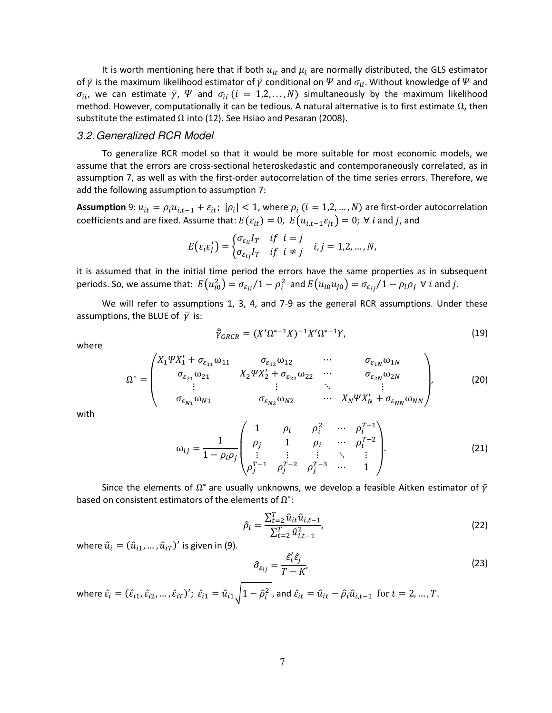It is worth mentioning here that if both  $u_{it}$  and  $\mu_i$  are normally distributed, the GLS estimator of  $\bar{y}$  is the maximum likelihood estimator of  $\bar{y}$  conditional on  $\Psi$  and  $\sigma_{ii}$ . Without knowledge of  $\Psi$  and  $\sigma_{ii}$ , we can estimate  $\bar{y}$ ,  $\bar{\Psi}$  and  $\sigma_{ii}$  ( $i = 1, 2, ..., N$ ) simultaneously by the maximum likelihood method. However, computationally it can be tedious. A natural alternative is to first estimate  $\Omega$ , then substitute the estimated  $\Omega$  int[o \(12\).](#page-6-2) See Hsiao and Pesaran (2008).

#### *3.2. Generalized RCR Model*

To generalize RCR model so that it would be more suitable for most economic models, we assume that the errors are cross-sectional heteroskedastic and contemporaneously correlated, as in assumption 7, as well as with the first-order autocorrelation of the time series errors. Therefore, we add the following assumption to assumption 7:

**Assumption** 9:  $u_{it} = \rho_i u_{i,t-1} + \varepsilon_{it}$ ;  $|\rho_i| < 1$ , where  $\rho_i$  ( $i = 1, 2, ..., N$ ) are first-order autocorrelation coefficients and are fixed. Assume that:  $E(\varepsilon_{it}) = 0$ ,  $E(u_{i,t-1}\varepsilon_{it}) = 0$ ;  $\forall i$  and j, and

$$
E(\varepsilon_i \varepsilon'_j) = \begin{cases} \sigma_{\varepsilon_{ii}} I_T & \text{if } i = j \\ \sigma_{\varepsilon_{ij}} I_T & \text{if } i \neq j \end{cases} \quad i, j = 1, 2, \dots, N,
$$

it is assumed that in the initial time period the errors have the same properties as in subsequent periods. So, we assume that:  $E(u_{i0}^2)=\sigma_{\varepsilon_{ii}}/1-\rho_i^2$  and  $E(u_{i0}u_{j0})=\sigma_{\varepsilon_{ij}}/1-\rho_i\rho_j$   $\forall$  i and j.

We will refer to assumptions 1, 3, 4, and 7-9 as the general RCR assumptions. Under these assumptions, the BLUE of  $\bar{v}$  is:

where

<span id="page-7-1"></span>
$$
\hat{\gamma}_{GRCR} = (X'\Omega^{*-1}X)^{-1}X'\Omega^{*-1}Y,\tag{19}
$$

$$
\Omega^* = \begin{pmatrix} X_1 \Psi X_1' + \sigma_{\varepsilon_{11}} \omega_{11} & \sigma_{\varepsilon_{12}} \omega_{12} & \cdots & \sigma_{\varepsilon_{1N}} \omega_{1N} \\ \sigma_{\varepsilon_{21}} \omega_{21} & X_2 \Psi X_2' + \sigma_{\varepsilon_{22}} \omega_{22} & \cdots & \sigma_{\varepsilon_{2N}} \omega_{2N} \\ \vdots & \vdots & \ddots & \vdots \\ \sigma_{\varepsilon_{N1}} \omega_{N1} & \sigma_{\varepsilon_{N2}} \omega_{N2} & \cdots & X_N \Psi X_N' + \sigma_{\varepsilon_{NN}} \omega_{NN} \end{pmatrix},
$$
(20)

with

$$
\omega_{ij} = \frac{1}{1 - \rho_i \rho_j} \begin{pmatrix} 1 & \rho_i & \rho_i^2 & \cdots & \rho_i^{T-1} \\ \rho_j & 1 & \rho_i & \cdots & \rho_i^{T-2} \\ \vdots & \vdots & \vdots & \ddots & \vdots \\ \rho_j^{T-1} & \rho_j^{T-2} & \rho_j^{T-3} & \cdots & 1 \end{pmatrix} .
$$
 (21)

Since the elements of  $\Omega^*$  are usually unknowns, we develop a feasible Aitken estimator of  $\bar{\gamma}$ based on consistent estimators of the elements of  $\Omega^*$ :

<span id="page-7-0"></span>
$$
\hat{\rho}_i = \frac{\sum_{t=2}^T \hat{u}_{it} \hat{u}_{i,t-1}}{\sum_{t=2}^T \hat{u}_{i,t-1}^2},\tag{22}
$$

where  $\hat{u}_i = (\hat{u}_{i1}, ..., \hat{u}_{iT})'$  is given in [\(9\).](#page-5-1)

<span id="page-7-2"></span>
$$
\hat{\sigma}_{\varepsilon_{ij}} = \frac{\hat{\varepsilon}'_i \hat{\varepsilon}_j}{T - K'},\tag{23}
$$

where  $\hat{\varepsilon}_i = (\hat{\varepsilon}_{i1}, \hat{\varepsilon}_{i2}, \dots, \hat{\varepsilon}_{iT})'$ ;  $\hat{\varepsilon}_{i1} = \hat{u}_{i1}\sqrt{1-\hat{\rho}_i^2}$  , and  $\hat{\varepsilon}_{it} = \hat{u}_{it} - \hat{\rho}_i\hat{u}_{i,t-1}$  for  $t = 2, ..., T$ .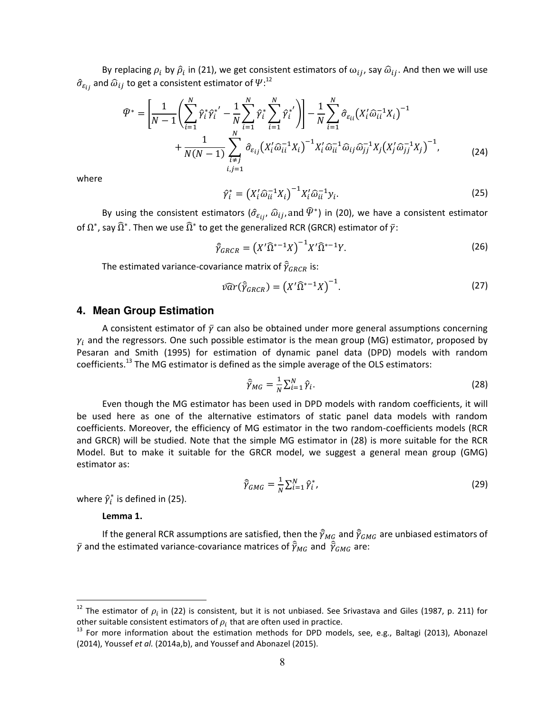By replacing  $\rho_i$  by  $\hat{\rho}_i$  in [\(21\),](#page-7-0) we get consistent estimators of  $\omega_{ij}$ , say  $\hat{\omega}_{ij}$ . And then we will use  $\widehat{\sigma}_{\varepsilon_{ij}}$  and  $\widehat{\omega}_{ij}$  to get a consistent estimator of  $\smash{\boldsymbol{\varPsi}}:^{12}$ 

$$
\hat{\mathcal{P}}^* = \left[ \frac{1}{N-1} \left( \sum_{i=1}^N \hat{\gamma}_i^* \hat{\gamma}_i^{*'} - \frac{1}{N} \sum_{i=1}^N \hat{\gamma}_i^* \sum_{i=1}^N \hat{\gamma}_i^{*'} \right) \right] - \frac{1}{N} \sum_{i=1}^N \hat{\sigma}_{\varepsilon_{ii}} (X_i' \hat{\omega}_{ii}^{-1} X_i)^{-1} + \frac{1}{N(N-1)} \sum_{\substack{i=1 \ i,j=1}}^N \hat{\sigma}_{\varepsilon_{ij}} (X_i' \hat{\omega}_{ii}^{-1} X_i)^{-1} X_i' \hat{\omega}_{ii}^{-1} \hat{\omega}_{ij} \hat{\omega}_{jj}^{-1} X_j (X_j' \hat{\omega}_{jj}^{-1} X_j)^{-1}, \tag{24}
$$

where

<span id="page-8-4"></span><span id="page-8-1"></span>
$$
\hat{\gamma}_i^* = \left(X_i' \hat{\omega}_{ii}^{-1} X_i\right)^{-1} X_i' \hat{\omega}_{ii}^{-1} y_i.
$$
\n(25)

By using the consistent estimators  $(\hat{\sigma}_{\varepsilon_{ij}}, \hat{\omega}_{ij},$  and  $\widehat{P}^*$ ) in [\(20\),](#page-7-1) we have a consistent estimator of  $\Omega^*$ , say  $\widehat{\Omega}^*$ . Then we use  $\widehat{\Omega}^*$  to get the generalized RCR (GRCR) estimator of  $\bar\gamma$ :

$$
\widehat{\gamma}_{GRCR} = \left(X'\,\widehat{\Omega}^{*-1}X\right)^{-1}X'\,\widehat{\Omega}^{*-1}Y. \tag{26}
$$

The estimated variance-covariance matrix of  $\widehat{\bar\gamma}_{GRCR}$  is:

$$
\widehat{\nu ar}(\widehat{Y}_{GRCR}) = \left(X'\widehat{\Omega}^{*-1}X\right)^{-1}.\tag{27}
$$

#### **4. Mean Group Estimation**

A consistent estimator of  $\bar{y}$  can also be obtained under more general assumptions concerning  $\gamma_i$  and the regressors. One such possible estimator is the mean group (MG) estimator, proposed by Pesaran and Smith (1995) for estimation of dynamic panel data (DPD) models with random coefficients.<sup>13</sup> The MG estimator is defined as the simple average of the OLS estimators:

<span id="page-8-2"></span><span id="page-8-0"></span>
$$
\widehat{\widehat{Y}}_{MG} = \frac{1}{N} \sum_{i=1}^{N} \widehat{Y}_{i}.
$$
\n(28)

Even though the MG estimator has been used in DPD models with random coefficients, it will be used here as one of the alternative estimators of static panel data models with random coefficients. Moreover, the efficiency of MG estimator in the two random-coefficients models (RCR and GRCR) will be studied. Note that the simple MG estimator in [\(28\)](#page-8-0) is more suitable for the RCR Model. But to make it suitable for the GRCR model, we suggest a general mean group (GMG) estimator as:

<span id="page-8-3"></span>
$$
\widehat{\gamma}_{GMG} = \frac{1}{N} \sum_{i=1}^{N} \widehat{\gamma}_i^*,
$$
\n(29)

where  $\hat{\gamma}_i^*$  is defined in [\(25\).](#page-8-1)

**Lemma 1.** 

l.

If the general RCR assumptions are satisfied, then the  $\widehat{\bar\gamma}_{M_G}$  and  $\widehat{\bar\gamma}_{GMG}$  are unbiased estimators of  $\bar{\gamma}$  and the estimated variance-covariance matrices of  $\widehat{\bar{\gamma}}_{MG}$  and  $\widehat{\bar{\gamma}}_{GMG}$  are:

<sup>&</sup>lt;sup>12</sup> The estimator of  $\rho_i$  in [\(22\)](#page-7-2) is consistent, but it is not unbiased. See Srivastava and Giles (1987, p. 211) for other suitable consistent estimators of  $\rho_i$  that are often used in practice.

<sup>&</sup>lt;sup>13</sup> For more information about the estimation methods for DPD models, see, e.g., Baltagi (2013), Abonazel (2014), Youssef *et al.* (2014a,b), and Youssef and Abonazel (2015).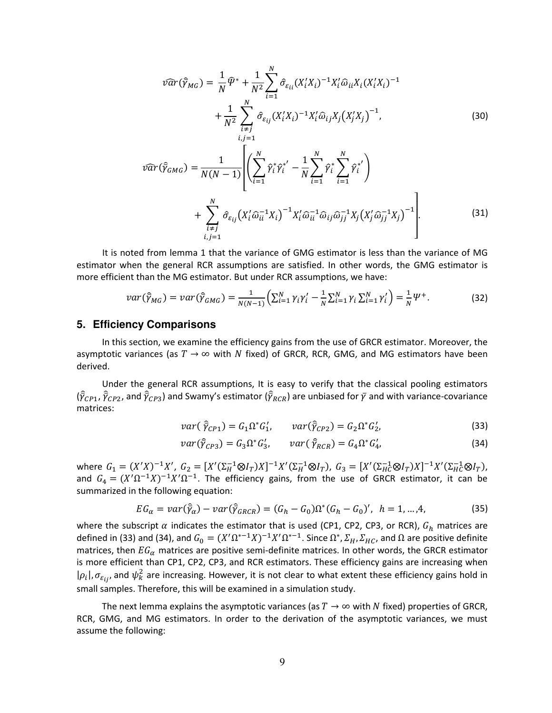<span id="page-9-2"></span>
$$
\widehat{\nu ar}(\widehat{Y}_{MG}) = \frac{1}{N} \widehat{\Psi}^* + \frac{1}{N^2} \sum_{i=1}^N \widehat{\sigma}_{\varepsilon_{ii}} (X_i' X_i)^{-1} X_i' \widehat{\omega}_{ii} X_i (X_i' X_i)^{-1} + \frac{1}{N^2} \sum_{\substack{i=1 \ i,j=1}}^N \widehat{\sigma}_{\varepsilon_{ij}} (X_i' X_i)^{-1} X_i' \widehat{\omega}_{ij} X_j (X_j' X_j)^{-1},
$$
\n(30)

<span id="page-9-3"></span>
$$
\hat{var}(\hat{\bar{Y}}_{GMG}) = \frac{1}{N(N-1)} \left[ \left( \sum_{i=1}^{N} \hat{\gamma}_i^* \hat{\gamma}_i^{*'} - \frac{1}{N} \sum_{i=1}^{N} \hat{\gamma}_i^* \sum_{i=1}^{N} \hat{\gamma}_i^{*'} \right) + \sum_{\substack{i=1 \ i \neq j}}^{N} \hat{\sigma}_{\varepsilon_{ij}} (X_i' \hat{\omega}_{ii}^{-1} X_i)^{-1} X_i' \hat{\omega}_{ii}^{-1} \hat{\omega}_{ij} \hat{\omega}_{jj}^{-1} X_j (X_j' \hat{\omega}_{jj}^{-1} X_j)^{-1} \right].
$$
\n(31)

It is noted from lemma 1 that the variance of GMG estimator is less than the variance of MG estimator when the general RCR assumptions are satisfied. In other words, the GMG estimator is more efficient than the MG estimator. But under RCR assumptions, we have:

$$
var(\hat{\bar{\gamma}}_{MG}) = var(\hat{\bar{\gamma}}_{GMG}) = \frac{1}{N(N-1)} \Big( \sum_{i=1}^{N} \gamma_i \gamma_i' - \frac{1}{N} \sum_{i=1}^{N} \gamma_i \sum_{i=1}^{N} \gamma_i' \Big) = \frac{1}{N} \Psi^{+}.
$$
 (32)

#### **5. Efficiency Comparisons**

In this section, we examine the efficiency gains from the use of GRCR estimator. Moreover, the asymptotic variances (as  $T \rightarrow \infty$  with N fixed) of GRCR, RCR, GMG, and MG estimators have been derived.

Under the general RCR assumptions, It is easy to verify that the classical pooling estimators  $(\widehat\gamma_{CP1},\widehat\gamma_{CP2},$  and  $\widehat\gamma_{CP3})$  and Swamy's estimator ( $\widehat\gamma_{RCR}$ ) are unbiased for  $\bar\gamma$  and with variance-covariance matrices:

<span id="page-9-1"></span><span id="page-9-0"></span>
$$
var(\hat{\bar{\gamma}}_{CP1}) = G_1 \Omega^* G_1', \qquad var(\hat{\bar{\gamma}}_{CP2}) = G_2 \Omega^* G_2', \qquad (33)
$$

$$
var(\hat{\gamma}_{CP3}) = G_3 \Omega^* G_3', \qquad var(\hat{\gamma}_{RCR}) = G_4 \Omega^* G_4', \tag{34}
$$

where  $G_1 = (X'X)^{-1}X'$ ,  $G_2 = [X'(\Sigma_H^{-1} \otimes I_T)X]^{-1}X'(\Sigma_H^{-1} \otimes I_T)$ ,  $G_3 = [X'(\Sigma_H^{-1} \otimes I_T)X]^{-1}X'(\Sigma_H^{-1} \otimes I_T)$ , and  $G_4 = (X'\Omega^{-1}X)^{-1}X'\Omega^{-1}$ . The efficiency gains, from the use of GRCR estimator, it can be summarized in the following equation:

$$
EG_{\alpha} = var(\hat{\bar{\gamma}}_{\alpha}) - var(\hat{\bar{\gamma}}_{GRCR}) = (G_h - G_0)\Omega^*(G_h - G_0)', \quad h = 1, ..., 4,
$$
 (35)

where the subscript  $\alpha$  indicates the estimator that is used (CP1, CP2, CP3, or RCR),  $G_h$  matrices are defined i[n \(33\)](#page-9-0) an[d \(34\),](#page-9-1) and  $G_0 = (X'\Omega^{*-1}X)^{-1}X'\Omega^{*-1}$ . Since  $\Omega^*, \Sigma_H, \Sigma_{HC}$ , and  $\Omega$  are positive definite matrices, then  $EG_\alpha$  matrices are positive semi-definite matrices. In other words, the GRCR estimator is more efficient than CP1, CP2, CP3, and RCR estimators. These efficiency gains are increasing when  $|\rho_i|$ ,  $\sigma_{\varepsilon_{ij}}$ , and  $\psi_k^2$  are increasing. However, it is not clear to what extent these efficiency gains hold in small samples. Therefore, this will be examined in a simulation study.

The next lemma explains the asymptotic variances (as  $T \to \infty$  with N fixed) properties of GRCR, RCR, GMG, and MG estimators. In order to the derivation of the asymptotic variances, we must assume the following: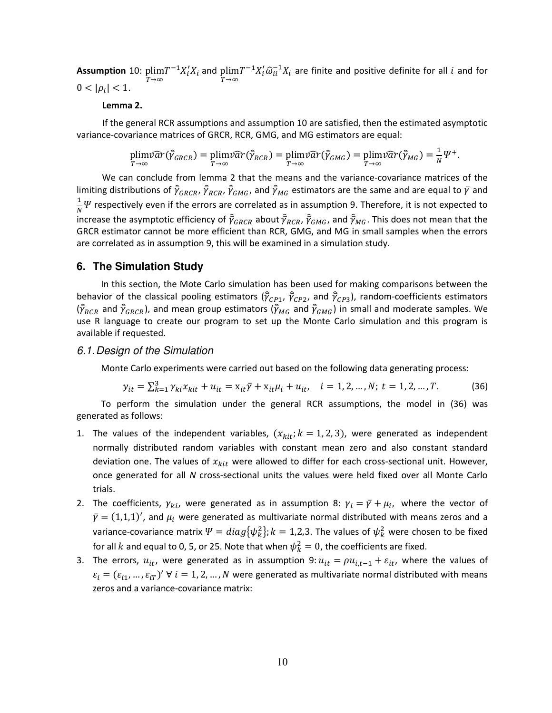**Assumption** 10: plim $T^{-1}X_i'X_i$  and  $T\rightarrow\infty$  $\text{plim} T^{-1} X_i' \widehat{\omega}_{ii}^{-1} X_i$  are finite and positive definite for all  $i$  and for  $T \rightarrow \infty$  $0 < |\rho_i| < 1.$ 

#### **Lemma 2.**

If the general RCR assumptions and assumption 10 are satisfied, then the estimated asymptotic variance-covariance matrices of GRCR, RCR, GMG, and MG estimators are equal:

$$
\plim \widehat{var}(\widehat{\bar{\gamma}}_{GRCR}) = \plim \widehat{var}(\widehat{\bar{\gamma}}_{RCR}) = \plim \widehat{var}(\widehat{\bar{\gamma}}_{RCR}) = \plim \widehat{var}(\widehat{\bar{\gamma}}_{GMG}) = \plim \widehat{var}(\widehat{\bar{\gamma}}_{MG}) = \frac{1}{N} \Psi^+.
$$

We can conclude from lemma 2 that the means and the variance-covariance matrices of the limiting distributions of  $\hat{\bar{\gamma}}_{GRCR}$ ,  $\hat{\bar{\gamma}}_{RCR}$ ,  $\hat{\bar{\gamma}}_{GMG}$ , and  $\hat{\bar{\gamma}}_{MG}$  estimators are the same and are equal to  $\bar{\gamma}$  and  $\frac{1}{N}\Psi$  respectively even if the errors are correlated as in assumption 9. Therefore, it is not expected to  $\stackrel{\sim}{i}$  increase the asymptotic efficiency of  $\widehat{\tilde{\gamma}}_{GRCR}$  about  $\widehat{\tilde{\gamma}}_{RCR}$ ,  $\widehat{\tilde{\gamma}}_{GMG}$ , and  $\widehat{\tilde{\gamma}}_{MG}$ . This does not mean that the GRCR estimator cannot be more efficient than RCR, GMG, and MG in small samples when the errors are correlated as in assumption 9, this will be examined in a simulation study.

#### **6. The Simulation Study**

In this section, the Mote Carlo simulation has been used for making comparisons between the behavior of the classical pooling estimators ( $\hat{\gamma}_{CP1}$ ,  $\hat{\gamma}_{CP2}$ , and  $\hat{\gamma}_{CP3}$ ), random-coefficients estimators  $(\widehat\gamma_{RCR}$  and  $\widehat\gamma_{GRCR})$ , and mean group estimators  $(\widehat\gamma_{MG}$  and  $\widehat\gamma_{GMG})$  in small and moderate samples. We use R language to create our program to set up the Monte Carlo simulation and this program is available if requested.

#### *6.1. Design of the Simulation*

Monte Carlo experiments were carried out based on the following data generating process:

<span id="page-10-0"></span>
$$
y_{it} = \sum_{k=1}^{3} \gamma_{ki} x_{kit} + u_{it} = x_{it} \bar{\gamma} + x_{it} \mu_i + u_{it}, \quad i = 1, 2, ..., N; \ t = 1, 2, ..., T. \tag{36}
$$

To perform the simulation under the general RCR assumptions, the model in [\(36\)](#page-10-0) was generated as follows:

- 1. The values of the independent variables,  $(x_{kit}; k = 1, 2, 3)$ , were generated as independent normally distributed random variables with constant mean zero and also constant standard deviation one. The values of  $x_{kit}$  were allowed to differ for each cross-sectional unit. However, once generated for all *N* cross-sectional units the values were held fixed over all Monte Carlo trials.
- 2. The coefficients,  $\gamma_{ki}$ , were generated as in assumption 8:  $\gamma_i = \bar{\gamma} + \mu_i$ , where the vector of  $\bar{\gamma} = (1,1,1)'$ , and  $\mu_i$  were generated as multivariate normal distributed with means zeros and a variance-covariance matrix  $\Psi=diag\{\psi^2_k\}; k=1,2,3$ . The values of  $\psi^2_k$  were chosen to be fixed for all k and equal to 0, 5, or 25. Note that when  $\psi_k^2 = 0$ , the coefficients are fixed.
- 3. The errors,  $u_{it}$ , were generated as in assumption 9:  $u_{it} = \rho u_{i,t-1} + \varepsilon_{it}$ , where the values of  $\varepsilon_i = (\varepsilon_{i1}, ..., \varepsilon_{iT})'$   $\forall i = 1, 2, ..., N$  were generated as multivariate normal distributed with means zeros and a variance-covariance matrix: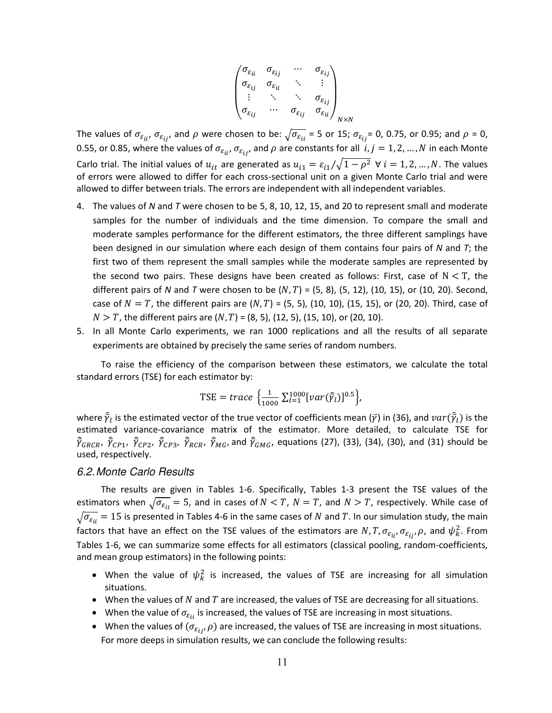$$
\begin{pmatrix}\n\sigma_{\varepsilon_{ii}} & \sigma_{\varepsilon_{ij}} & \cdots & \sigma_{\varepsilon_{ij}} \\
\sigma_{\varepsilon_{ij}} & \sigma_{\varepsilon_{ii}} & \ddots & \vdots \\
\vdots & \ddots & \ddots & \sigma_{\varepsilon_{ij}} \\
\sigma_{\varepsilon_{ij}} & \cdots & \sigma_{\varepsilon_{ij}} & \sigma_{\varepsilon_{ii}}\n\end{pmatrix}_{N \times N}
$$

The values of  $\sigma_{\varepsilon_{ii'}}$ ,  $\sigma_{\varepsilon_{ij'}}$  and  $\rho$  were chosen to be:  $\sqrt{\sigma_{\varepsilon_{ii}}}$  = 5 or 15;  $\sigma_{\varepsilon_{ij}}$  = 0, 0.75, or 0.95; and  $\rho$  = 0, 0.55, or 0.85, where the values of  $\sigma_{\epsilon_{ii}}, \sigma_{\epsilon_{ii}},$  and  $\rho$  are constants for all  $i, j = 1, 2, ..., N$  in each Monte Carlo trial. The initial values of  $u_{it}$  are generated as  $u_{i1} = \varepsilon_{i1}/\sqrt{1-\rho^2}$   $\forall i = 1, 2, ..., N$ . The values of errors were allowed to differ for each cross-sectional unit on a given Monte Carlo trial and were allowed to differ between trials. The errors are independent with all independent variables.

- 4. The values of *N* and *T* were chosen to be 5, 8, 10, 12, 15, and 20 to represent small and moderate samples for the number of individuals and the time dimension. To compare the small and moderate samples performance for the different estimators, the three different samplings have been designed in our simulation where each design of them contains four pairs of *N* and *T*; the first two of them represent the small samples while the moderate samples are represented by the second two pairs. These designs have been created as follows: First, case of  $N < T$ , the different pairs of *N* and *T* were chosen to be  $(N, T) = (5, 8)$ ,  $(5, 12)$ ,  $(10, 15)$ , or  $(10, 20)$ . Second, case of  $N = T$ , the different pairs are  $(N, T) = (5, 5)$ , (10, 10), (15, 15), or (20, 20). Third, case of  $N > T$ , the different pairs are  $(N, T) = (8, 5)$ , (12, 5), (15, 10), or (20, 10).
- 5. In all Monte Carlo experiments, we ran 1000 replications and all the results of all separate experiments are obtained by precisely the same series of random numbers.

To raise the efficiency of the comparison between these estimators, we calculate the total standard errors (TSE) for each estimator by:

TSE = trace 
$$
\left\{ \frac{1}{1000} \sum_{l=1}^{1000} [var(\hat{y}_l)]^{0.5} \right\},
$$

where  $\widehat{\bar\gamma}_l$  is the estimated vector of the true vector of coefficients mean ( $\bar\gamma$ ) i[n \(36\),](#page-10-0) and  $var(\widehat{\bar\gamma}_l)$  is the where  $\gamma_l$  is the estimated vector of the true vector of coefficients mean  $(\gamma_l)$  in (50), and  $\ell \alpha$  ( $\gamma_l$ ) is the estimated variance-covariance matrix of the estimator. More detailed, to calculate TSE for  $\hat{\bar\gamma}_{GRCR}$ ,  $\hat{\bar\gamma}_{CP1}$ ,  $\hat{\bar\gamma}_{CP2}$ ,  $\hat{\bar\gamma}_{CP3}$ ,  $\hat{\bar\gamma}_{RCR}$ ,  $\hat{\bar\gamma}_{MG}$ , aquations [\(27\),](#page-8-2) [\(33\),](#page-9-0) [\(34\),](#page-9-1) [\(30\),](#page-9-2) and [\(31\)](#page-9-3) should be used, respectively.

#### *6.2. Monte Carlo Results*

The results are given in Tables 1-6. Specifically, Tables 1-3 present the TSE values of the estimators when  $\sqrt{\sigma_{\varepsilon_{ii}}}$  = 5, and in cases of  $N < T$ ,  $N = T$ , and  $N > T$ , respectively. While case of  $\sqrt{\sigma_{\varepsilon_{ii}}}$  = 15 is presented in Tables 4-6 in the same cases of N and T. In our simulation study, the main factors that have an effect on the TSE values of the estimators are  $N$ ,  $T$ ,  $\sigma_{\varepsilon_{i}}$ ,  $\sigma_{\varepsilon_{i}}$ ,  $\rho$ , and  $\psi_k^2$ . From Tables 1-6, we can summarize some effects for all estimators (classical pooling, random-coefficients, and mean group estimators) in the following points:

- When the value of  $\psi_k^2$  is increased, the values of TSE are increasing for all simulation situations.
- $\bullet$  When the values of N and T are increased, the values of TSE are decreasing for all situations.
- When the value of  $\sigma_{\varepsilon_{ii}}$  is increased, the values of TSE are increasing in most situations.
- When the values of  $(\sigma_{\varepsilon_{ij}}, \rho)$  are increased, the values of TSE are increasing in most situations. For more deeps in simulation results, we can conclude the following results: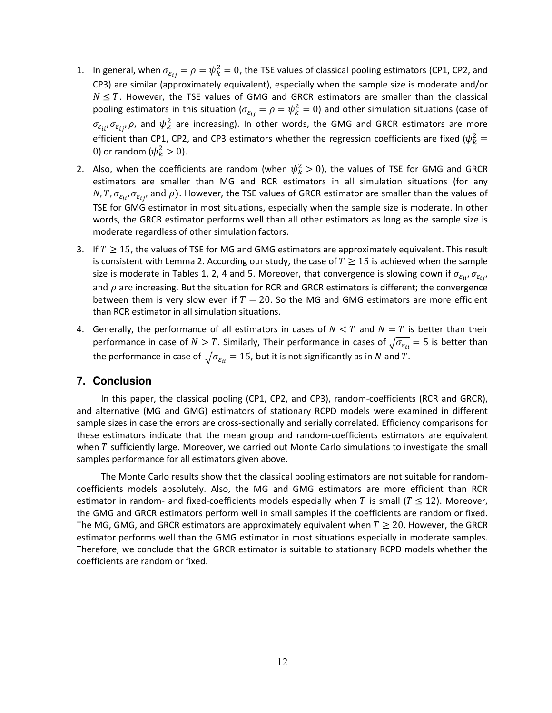- 1. In general, when  $\sigma_{\varepsilon_{ij}} = \rho = \psi_k^2 = 0$ , the TSE values of classical pooling estimators (CP1, CP2, and CP3) are similar (approximately equivalent), especially when the sample size is moderate and/or  $N \leq T$ . However, the TSE values of GMG and GRCR estimators are smaller than the classical pooling estimators in this situation ( $\sigma_{\varepsilon_{ij}}=\rho=\psi_k^2=0$ ) and other simulation situations (case of  $\sigma_{\varepsilon_{ii}}, \sigma_{\varepsilon_{ij}}, \rho$ , and  $\psi^2_k$  are increasing). In other words, the GMG and GRCR estimators are more efficient than CP1, CP2, and CP3 estimators whether the regression coefficients are fixed ( $\psi_k^2$ 0) or random ( $\psi_k^2 > 0$ ).
- 2. Also, when the coefficients are random (when  $\psi_k^2 > 0$ ), the values of TSE for GMG and GRCR estimators are smaller than MG and RCR estimators in all simulation situations (for any  $N, T, \sigma_{\varepsilon_{ii}}, \sigma_{\varepsilon_{ii}}$  and  $\rho$ ). However, the TSE values of GRCR estimator are smaller than the values of TSE for GMG estimator in most situations, especially when the sample size is moderate. In other words, the GRCR estimator performs well than all other estimators as long as the sample size is moderate regardless of other simulation factors.
- 3. If  $T \geq 15$ , the values of TSE for MG and GMG estimators are approximately equivalent. This result is consistent with Lemma 2. According our study, the case of  $T \geq 15$  is achieved when the sample size is moderate in Tables 1, 2, 4 and 5. Moreover, that convergence is slowing down if  $\sigma_{\varepsilon_{ii}}, \sigma_{\varepsilon_{ii}}$ and  $\rho$  are increasing. But the situation for RCR and GRCR estimators is different; the convergence between them is very slow even if  $T = 20$ . So the MG and GMG estimators are more efficient than RCR estimator in all simulation situations.
- 4. Generally, the performance of all estimators in cases of  $N < T$  and  $N = T$  is better than their performance in case of  $N > T$ . Similarly, Their performance in cases of  $\sqrt{\sigma_{\varepsilon_{ij}}} = 5$  is better than the performance in case of  $\sqrt{\sigma_{\varepsilon_{ii}}}$  = 15, but it is not significantly as in N and T.

# **7. Conclusion**

In this paper, the classical pooling (CP1, CP2, and CP3), random-coefficients (RCR and GRCR), and alternative (MG and GMG) estimators of stationary RCPD models were examined in different sample sizes in case the errors are cross-sectionally and serially correlated. Efficiency comparisons for these estimators indicate that the mean group and random-coefficients estimators are equivalent when  $T$  sufficiently large. Moreover, we carried out Monte Carlo simulations to investigate the small samples performance for all estimators given above.

The Monte Carlo results show that the classical pooling estimators are not suitable for randomcoefficients models absolutely. Also, the MG and GMG estimators are more efficient than RCR estimator in random- and fixed-coefficients models especially when T is small ( $T \le 12$ ). Moreover, the GMG and GRCR estimators perform well in small samples if the coefficients are random or fixed. The MG, GMG, and GRCR estimators are approximately equivalent when  $T \geq 20$ . However, the GRCR estimator performs well than the GMG estimator in most situations especially in moderate samples. Therefore, we conclude that the GRCR estimator is suitable to stationary RCPD models whether the coefficients are random or fixed.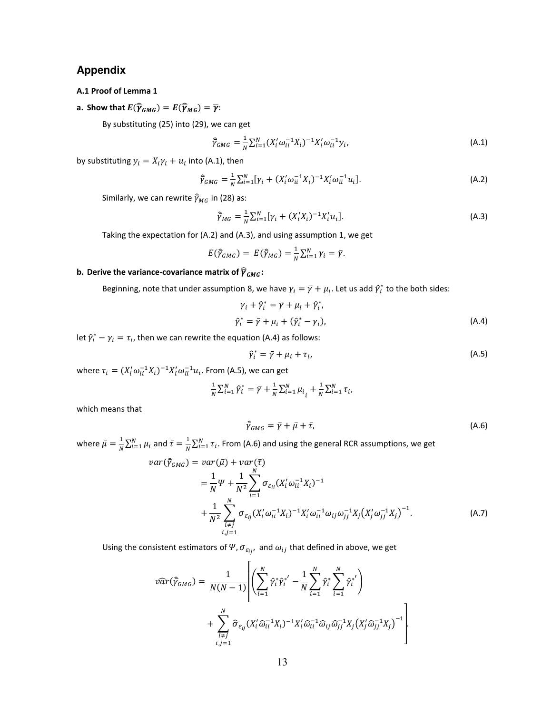### **Appendix**

#### **A.1 Proof of Lemma 1**

**a.** Show that  $E(\widehat{\overline{\gamma}}_{GMG}) = E(\widehat{\overline{\gamma}}_{MG}) = \overline{\gamma}$ :

By substituting [\(25\) i](#page-8-1)nto [\(29\),](#page-8-3) we can get

$$
\hat{\gamma}_{GMG} = \frac{1}{N} \sum_{i=1}^{N} (X_i' \omega_{ii}^{-1} X_i)^{-1} X_i' \omega_{ii}^{-1} y_i,
$$
\n(A.1)

by substituting  $y_i = X_i \gamma_i + u_i$  into (A.1), then

$$
\hat{\overline{\gamma}}_{GMG} = \frac{1}{N} \sum_{i=1}^{N} [\gamma_i + (X_i' \omega_{ii}^{-1} X_i)^{-1} X_i' \omega_{ii}^{-1} u_i].
$$
\n(A.2)

Similarly, we can rewrite  $\hat{\bar{\gamma}}_{MG}$  in [\(28\)](#page-8-0) as:

$$
\widehat{\gamma}_{MG} = \frac{1}{N} \sum_{i=1}^{N} [\gamma_i + (X_i' X_i)^{-1} X_i' u_i].
$$
\n(A.3)

Taking the expectation for (A.2) and (A.3), and using assumption 1, we get

$$
E(\widehat{\overline{\gamma}}_{GMG}) = E(\widehat{\overline{\gamma}}_{MG}) = \frac{1}{N} \sum_{i=1}^{N} \gamma_i = \overline{\gamma}.
$$

#### **b.** Derive the variance-covariance matrix of  $\widehat{\overline{\gamma}}_{GMG}$ :

Beginning, note that under assumption 8, we have  $\gamma_i = \bar{\gamma} + \mu_i$ . Let us add  $\hat{\gamma}_i^*$  to the both sides:

$$
\gamma_i + \hat{\gamma}_i^* = \bar{\gamma} + \mu_i + \hat{\gamma}_i^*,
$$
  

$$
\hat{\gamma}_i^* = \bar{\gamma} + \mu_i + (\hat{\gamma}_i^* - \gamma_i),
$$
 (A.4)

let  $\hat{\gamma}_i^* - \gamma_i = \tau_i$ , then we can rewrite the equation (A.4) as follows:

$$
\hat{\gamma}_i^* = \bar{\gamma} + \mu_i + \tau_i, \tag{A.5}
$$

where  $\tau_i = (X_i' \omega_{ii}^{-1} X_i)^{-1} X_i' \omega_{ii}^{-1} u_i$ . From (A.5), we can get

$$
\frac{1}{N} \sum_{i=1}^{N} \hat{\gamma}_i^* = \bar{\gamma} + \frac{1}{N} \sum_{i=1}^{N} \mu_i + \frac{1}{N} \sum_{i=1}^{N} \tau_i,
$$

which means that

$$
\hat{\overline{\gamma}}_{GMG} = \overline{\gamma} + \overline{\mu} + \overline{\tau},\tag{A.6}
$$

:

where  $\bar{\mu} = \frac{1}{N} \sum_{i=1}^{N} \mu_i$  and  $\bar{\tau} = \frac{1}{N} \sum_{i=1}^{N} \tau_i$ . From (A.6) and using the general RCR assumptions, we get

$$
var(\hat{\gamma}_{GMG}) = var(\bar{\mu}) + var(\bar{\tau})
$$
  
=  $\frac{1}{N} \Psi + \frac{1}{N^2} \sum_{i=1}^{N} \sigma_{\epsilon_{ii}} (X_i' \omega_{ii}^{-1} X_i)^{-1}$   
+  $\frac{1}{N^2} \sum_{i \neq j}^{N} \sigma_{\epsilon_{ij}} (X_i' \omega_{ii}^{-1} X_i)^{-1} X_i' \omega_{ii}^{-1} \omega_{ij} \omega_{jj}^{-1} X_j (X_j' \omega_{jj}^{-1} X_j)^{-1}$ . (A.7)

Using the consistent estimators of  $\Psi$ ,  $\sigma_{\varepsilon_{ij}}$ , and  $\omega_{ij}$  that defined in above, we get

$$
\widehat{var}(\widehat{Y}_{GMG}) = \frac{1}{N(N-1)} \left[ \left( \sum_{i=1}^{N} \widehat{\gamma}_i^* \widehat{\gamma}_i^{*'} - \frac{1}{N} \sum_{i=1}^{N} \widehat{\gamma}_i^* \sum_{i=1}^{N} \widehat{\gamma}_i^{*'} \right) + \sum_{\substack{i \neq j \\ i,j=1}}^{N} \widehat{\sigma}_{\varepsilon_{ij}} (X_i' \widehat{\omega}_{ii}^{-1} X_i)^{-1} X_i' \widehat{\omega}_{ii}^{-1} \widehat{\omega}_{ij} \widehat{\omega}_{jj}^{-1} X_j (X_j' \widehat{\omega}_{jj}^{-1} X_j)^{-1} \right]
$$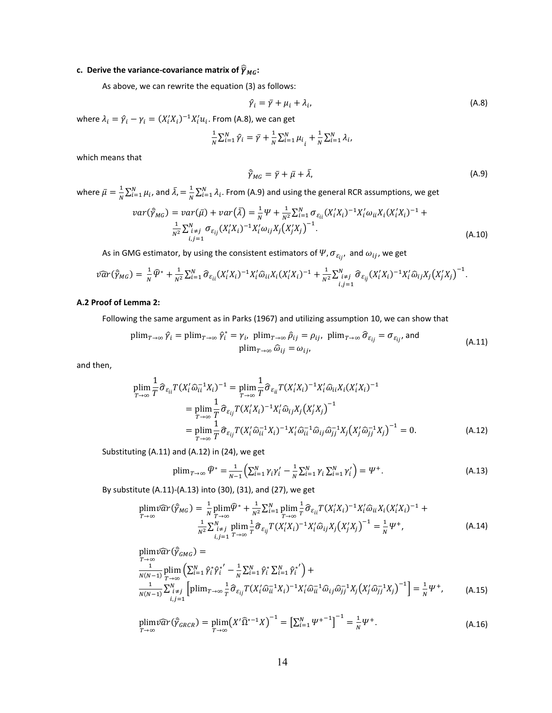# **c.** Derive the variance-covariance matrix of  $\widehat{\overline{\gamma}}_{MG}$ :

As above, we can rewrite the equatio[n \(3\) a](#page-3-2)s follows:

$$
\hat{\gamma}_i = \bar{\gamma} + \mu_i + \lambda_i, \tag{A.8}
$$

where  $\lambda_i = \hat{\gamma}_i - \gamma_i = (X_i' X_i)^{-1} X_i' u_i$ . From (A.8), we can get

$$
\frac{1}{N} \sum_{i=1}^{N} \hat{\gamma}_i = \bar{\gamma} + \frac{1}{N} \sum_{i=1}^{N} \mu_{i} + \frac{1}{N} \sum_{i=1}^{N} \lambda_i,
$$

which means that

$$
\widehat{\gamma}_{MG} = \overline{\gamma} + \overline{\mu} + \overline{\lambda},\tag{A.9}
$$

where  $\bar{\mu} = \frac{1}{N} \sum_{i=1}^{N} \mu_i$ , and  $\bar{\lambda} = \frac{1}{N}$  $\frac{1}{N}\sum_{i=1}^{N} \lambda_{i}$ . From (A.9) and using the general RCR assumptions, we get

$$
var(\tilde{\gamma}_{MG}) = var(\bar{\mu}) + var(\bar{\lambda}) = \frac{1}{N} \Psi + \frac{1}{N^2} \sum_{i=1}^{N} \sigma_{\epsilon_{ii}} (X_i' X_i)^{-1} X_i' \omega_{ii} X_i (X_i' X_i)^{-1} + \frac{1}{N^2} \sum_{i,j=1}^{N} \sigma_{\epsilon_{ij}} (X_i' X_i)^{-1} X_i' \omega_{ij} X_j (X_j' X_j)^{-1}.
$$
\n(A.10)

As in GMG estimator, by using the consistent estimators of  $\Psi$ ,  $\sigma_{\varepsilon_{ij}}$ , and  $\omega_{ij}$ , we get

$$
\widehat{\nu}\widehat{ar}(\widehat{y}_{MG}) = \frac{1}{N}\widehat{\Psi}^* + \frac{1}{N^2}\sum_{i=1}^N \widehat{\sigma}_{\varepsilon_{ii}}(X_i'X_i)^{-1}X_i'\widehat{\omega}_{ii}X_i(X_i'X_i)^{-1} + \frac{1}{N^2}\sum_{i,j=1}^N \widehat{\sigma}_{\varepsilon_{ij}}(X_i'X_i)^{-1}X_i'\widehat{\omega}_{ij}X_j(X_j'X_j)^{-1}.
$$

#### **A.2 Proof of Lemma 2:**

Following the same argument as in Parks (1967) and utilizing assumption 10, we can show that

$$
\text{plim}_{T \to \infty} \hat{\gamma}_i = \text{plim}_{T \to \infty} \hat{\gamma}_i^* = \gamma_i, \ \text{plim}_{T \to \infty} \hat{\rho}_{ij} = \rho_{ij}, \ \text{plim}_{T \to \infty} \hat{\sigma}_{\varepsilon_{ij}} = \sigma_{\varepsilon_{ij}},
$$
\n
$$
\text{(A.11)}
$$
\n
$$
\text{plim}_{T \to \infty} \hat{\omega}_{ij} = \omega_{ij},
$$

and then,

$$
\begin{split} \text{plim} \frac{1}{T} \hat{\sigma}_{\varepsilon_{ii}} T(X_i' \hat{\omega}_{ii}^{-1} X_i)^{-1} &= \text{plim} \frac{1}{T} \hat{\sigma}_{\varepsilon_{ii}} T(X_i' X_i)^{-1} X_i' \hat{\omega}_{ii} X_i (X_i' X_i)^{-1} \\ &= \text{plim} \frac{1}{T} \hat{\sigma}_{\varepsilon_{ij}} T(X_i' X_i)^{-1} X_i' \hat{\omega}_{ij} X_j (X_j' X_j)^{-1} \\ &= \text{plim} \frac{1}{T} \hat{\sigma}_{\varepsilon_{ij}} T(X_i' \hat{\omega}_{ii}^{-1} X_i)^{-1} X_i' \hat{\omega}_{ii}^{-1} \hat{\omega}_{ij} \hat{\omega}_{jj}^{-1} X_j (X_j' \hat{\omega}_{jj}^{-1} X_j)^{-1} = 0. \end{split} \tag{A.12}
$$

Substituting (A.11) and (A.12) i[n \(24\),](#page-8-4) we get

$$
\text{plim}_{T \to \infty} \,\varphi^* = \frac{1}{N-1} \Big( \sum_{i=1}^N \gamma_i \gamma'_i - \frac{1}{N} \sum_{i=1}^N \gamma_i \sum_{i=1}^N \gamma'_i \Big) = \Psi^+.
$$
\n(A.13)

By substitute (A.11)-(A.13) int[o \(30\),](#page-9-2) [\(31\),](#page-9-3) and [\(27\),](#page-8-2) we get

$$
\text{plim}\n\widehat{\text{var}}(\widehat{Y}_{MG}) = \frac{1}{N} \text{plim}\n\widehat{\Psi}^* + \frac{1}{N^2} \sum_{i=1}^N \text{plim}\n\frac{1}{T} \widehat{\sigma}_{\varepsilon_{ii}} T(X_i'X_i)^{-1} X_i' \widehat{\omega}_{ii} X_i (X_i'X_i)^{-1} + \frac{1}{N^2} \sum_{i \neq j}^N \text{plim}\n\frac{1}{T} \widehat{\sigma}_{\varepsilon_{ij}} T(X_i'X_i)^{-1} X_i' \widehat{\omega}_{ij} X_j (X_j'X_j)^{-1} = \frac{1}{N} \Psi^+,
$$
\n(A.14)

$$
\begin{split}\n\text{plim}\n\hat{\mathcal{V}}\hat{\mathcal{U}}^{T}(\vec{\gamma}_{GMG}) &= \\
\frac{1}{N(N-1)} \text{plim}_{T\to\infty} \left( \sum_{i=1}^{N} \hat{\gamma}_{i}^{*} \hat{\gamma}_{i}^{*'} - \frac{1}{N} \sum_{i=1}^{N} \hat{\gamma}_{i}^{*} \sum_{i=1}^{N} \hat{\gamma}_{i}^{*'} \right) + \\
\frac{1}{N(N-1)} \sum_{i,j=1}^{N} \left[ \text{plim}_{T\to\infty} \frac{1}{T} \hat{\sigma}_{\varepsilon_{ij}} T(X_{i}' \hat{\omega}_{ii}^{-1} X_{i})^{-1} X_{i}' \hat{\omega}_{ii}^{-1} \hat{\omega}_{ij} \hat{\omega}_{jj}^{-1} X_{j} (X_{j}' \hat{\omega}_{jj}^{-1} X_{j})^{-1} \right] &= \frac{1}{N} \Psi^{+},\n\end{split} \tag{A.15}
$$

$$
\plim\widehat{var}(\widehat{\gamma}_{GRCR}) = \plim\left(X'\widehat{\Omega}^{*-1}X\right)^{-1} = \left[\sum_{i=1}^{N} \Psi^{+-1}\right]^{-1} = \frac{1}{N} \Psi^+.
$$
\n(A.16)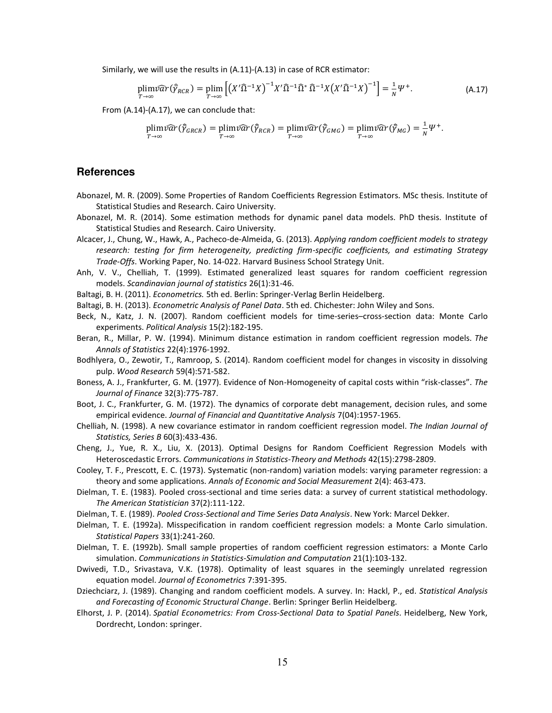Similarly, we will use the results in (A.11)-(A.13) in case of RCR estimator:

$$
\plim_{T \to \infty} \widehat{var}(\widehat{Y}_{RCR}) = \plim_{T \to \infty} \left[ \left( X' \widehat{\Omega}^{-1} X \right)^{-1} X' \widehat{\Omega}^{-1} \widehat{\Omega}^* \widehat{\Omega}^{-1} X \left( X' \widehat{\Omega}^{-1} X \right)^{-1} \right] = \frac{1}{N} \Psi^+.
$$
\n(A.17)

From (A.14)-(A.17), we can conclude that:

$$
\underset{T\to\infty}{\text{plim}}\widehat{var}(\widehat{\gamma}_{GRCR}) = \underset{T\to\infty}{\text{plim}}\widehat{var}(\widehat{\gamma}_{RCR}) = \underset{T\to\infty}{\text{plim}}\widehat{var}(\widehat{\gamma}_{GMG}) = \underset{T\to\infty}{\text{plim}}\widehat{var}(\widehat{\gamma}_{MG}) = \frac{1}{N}\Psi^+.
$$

#### **References**

- Abonazel, M. R. (2009). Some Properties of Random Coefficients Regression Estimators*.* MSc thesis. Institute of Statistical Studies and Research. Cairo University.
- Abonazel, M. R. (2014). Some estimation methods for dynamic panel data models. PhD thesis. Institute of Statistical Studies and Research. Cairo University.
- Alcacer, J., Chung, W., Hawk, A., Pacheco-de-Almeida, G. (2013). *Applying random coefficient models to strategy research: testing for firm heterogeneity, predicting firm-specific coefficients, and estimating Strategy Trade-Offs*. Working Paper, No. 14-022. Harvard Business School Strategy Unit.
- Anh, V. V., Chelliah, T. (1999). Estimated generalized least squares for random coefficient regression models. *Scandinavian journal of statistics* 26(1):31-46.
- Baltagi, B. H. (2011). *Econometrics.* 5th ed. Berlin: Springer-Verlag Berlin Heidelberg.
- Baltagi, B. H. (2013). *Econometric Analysis of Panel Data*. 5th ed. Chichester: John Wiley and Sons.
- Beck, N., Katz, J. N. (2007). Random coefficient models for time-series–cross-section data: Monte Carlo experiments. *Political Analysis* 15(2):182-195.
- Beran, R., Millar, P. W. (1994). Minimum distance estimation in random coefficient regression models. *The Annals of Statistics* 22(4):1976-1992.
- Bodhlyera, O., Zewotir, T., Ramroop, S. (2014). Random coefficient model for changes in viscosity in dissolving pulp. *Wood Research* 59(4):571-582.
- Boness, A. J., Frankfurter, G. M. (1977). Evidence of Non-Homogeneity of capital costs within "risk-classes". *The Journal of Finance* 32(3):775-787.
- Boot, J. C., Frankfurter, G. M. (1972). The dynamics of corporate debt management, decision rules, and some empirical evidence. *Journal of Financial and Quantitative Analysis* 7(04):1957-1965.
- Chelliah, N. (1998). A new covariance estimator in random coefficient regression model. *The Indian Journal of Statistics, Series B* 60(3):433-436.
- Cheng, J., Yue, R. X., Liu, X. (2013). Optimal Designs for Random Coefficient Regression Models with Heteroscedastic Errors. *Communications in Statistics-Theory and Methods* 42(15):2798-2809.
- Cooley, T. F., Prescott, E. C. (1973). Systematic (non-random) variation models: varying parameter regression: a theory and some applications. *Annals of Economic and Social Measurement* 2(4): 463-473.
- Dielman, T. E. (1983). Pooled cross-sectional and time series data: a survey of current statistical methodology. *The American Statistician* 37(2):111-122.
- Dielman, T. E. (1989). *Pooled Cross-Sectional and Time Series Data Analysis*. New York: Marcel Dekker.
- Dielman, T. E. (1992a). Misspecification in random coefficient regression models: a Monte Carlo simulation. *Statistical Papers* 33(1):241-260.
- Dielman, T. E. (1992b). Small sample properties of random coefficient regression estimators: a Monte Carlo simulation. *Communications in Statistics-Simulation and Computation* 21(1):103-132.
- Dwivedi, T.D., Srivastava, V.K. (1978). Optimality of least squares in the seemingly unrelated regression equation model. *Journal of Econometrics* 7:391-395.
- Dziechciarz, J. (1989). Changing and random coefficient models. A survey. In: Hackl, P., ed. *Statistical Analysis and Forecasting of Economic Structural Change*. Berlin: Springer Berlin Heidelberg.
- Elhorst, J. P. (2014). *Spatial Econometrics: From Cross-Sectional Data to Spatial Panels*. Heidelberg, New York, Dordrecht, London: springer.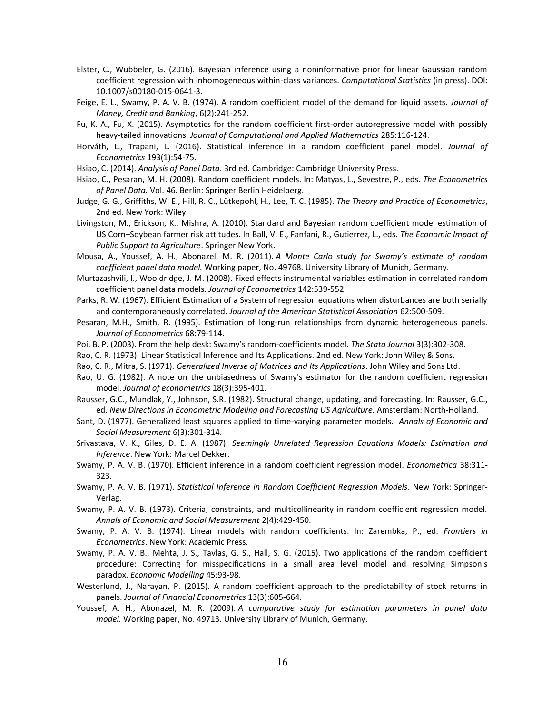- Elster, C., Wübbeler, G. (2016). Bayesian inference using a noninformative prior for linear Gaussian random coefficient regression with inhomogeneous within-class variances. *Computational Statistics* (in press). DOI: 10.1007/s00180-015-0641-3.
- Feige, E. L., Swamy, P. A. V. B. (1974). A random coefficient model of the demand for liquid assets. *Journal of Money, Credit and Banking*, 6(2):241-252.
- Fu, K. A., Fu, X. (2015). Asymptotics for the random coefficient first-order autoregressive model with possibly heavy-tailed innovations. *Journal of Computational and Applied Mathematics* 285:116-124.
- Horváth, L., Trapani, L. (2016). Statistical inference in a random coefficient panel model. *Journal of Econometrics* 193(1):54-75.
- Hsiao, C. (2014). *Analysis of Panel Data*. 3rd ed. Cambridge: Cambridge University Press.
- Hsiao, C., Pesaran, M. H. (2008). Random coefficient models. In: Matyas, L., Sevestre, P., eds. *The Econometrics of Panel Data.* Vol. 46. Berlin: Springer Berlin Heidelberg.
- Judge, G. G., Griffiths, W. E., Hill, R. C., Lütkepohl, H., Lee, T. C. (1985). *The Theory and Practice of Econometrics*, 2nd ed. New York: Wiley.
- Livingston, M., Erickson, K., Mishra, A. (2010). Standard and Bayesian random coefficient model estimation of US Corn–Soybean farmer risk attitudes. In Ball, V. E., Fanfani, R., Gutierrez, L., eds. *The Economic Impact of Public Support to Agriculture*. Springer New York.
- Mousa, A., Youssef, A. H., Abonazel, M. R. (2011). *A Monte Carlo study for Swamy's estimate of random coefficient panel data model.* Working paper, No. 49768. University Library of Munich, Germany.
- Murtazashvili, I., Wooldridge, J. M. (2008). Fixed effects instrumental variables estimation in correlated random coefficient panel data models. *Journal of Econometrics* 142:539-552.
- Parks, R. W. (1967). Efficient Estimation of a System of regression equations when disturbances are both serially and contemporaneously correlated. *Journal of the American Statistical Association* 62:500-509.
- Pesaran, M.H., Smith, R. (1995). Estimation of long-run relationships from dynamic heterogeneous panels. *Journal of Econometrics* 68:79-114.
- Poi, B. P. (2003). From the help desk: Swamy's random-coefficients model. *The Stata Journal* 3(3):302-308.
- Rao, C. R. (1973). Linear Statistical Inference and Its Applications. 2nd ed. New York: John Wiley & Sons.
- Rao, C. R., Mitra, S. (1971). *Generalized Inverse of Matrices and Its Applications*. John Wiley and Sons Ltd.
- Rao, U. G. (1982). A note on the unbiasedness of Swamy's estimator for the random coefficient regression model. *Journal of econometrics* 18(3):395-401.
- Rausser, G.C., Mundlak, Y., Johnson, S.R. (1982). Structural change, updating, and forecasting. In: Rausser, G.C., ed. *New Directions in Econometric Modeling and Forecasting US Agriculture.* Amsterdam: North-Holland.
- Sant, D. (1977). Generalized least squares applied to time-varying parameter models. *Annals of Economic and Social Measurement* 6(3):301-314.
- Srivastava, V. K., Giles, D. E. A. (1987). *Seemingly Unrelated Regression Equations Models: Estimation and Inference*. New York: Marcel Dekker.
- Swamy, P. A. V. B. (1970). Efficient inference in a random coefficient regression model. *Econometrica* 38:311- 323.
- Swamy, P. A. V. B. (1971). *Statistical Inference in Random Coefficient Regression Models*. New York: Springer-Verlag.
- Swamy, P. A. V. B. (1973). Criteria, constraints, and multicollinearity in random coefficient regression model. *Annals of Economic and Social Measurement* 2(4):429-450.
- Swamy, P. A. V. B. (1974). Linear models with random coefficients. In: Zarembka, P., ed. *Frontiers in Econometrics*. New York: Academic Press.
- Swamy, P. A. V. B., Mehta, J. S., Tavlas, G. S., Hall, S. G. (2015). Two applications of the random coefficient procedure: Correcting for misspecifications in a small area level model and resolving Simpson's paradox. *Economic Modelling* 45:93-98.
- Westerlund, J., Narayan, P. (2015). A random coefficient approach to the predictability of stock returns in panels. *Journal of Financial Econometrics* 13(3):605-664.
- Youssef, A. H., Abonazel, M. R. (2009). *A comparative study for estimation parameters in panel data model.* Working paper, No. 49713. University Library of Munich, Germany.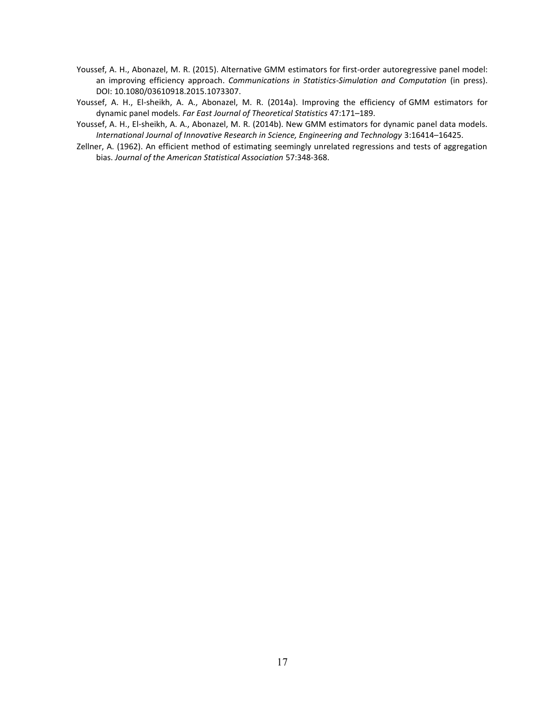- Youssef, A. H., Abonazel, M. R. (2015). Alternative GMM estimators for first-order autoregressive panel model: an improving efficiency approach. *Communications in Statistics-Simulation and Computation* (in press). DOI: 10.1080/03610918.2015.1073307.
- Youssef, A. H., El-sheikh, A. A., Abonazel, M. R. (2014a). Improving the efficiency of GMM estimators for dynamic panel models. *Far East Journal of Theoretical Statistics* 47:171–189.
- Youssef, A. H., El-sheikh, A. A., Abonazel, M. R. (2014b). New GMM estimators for dynamic panel data models. *International Journal of Innovative Research in Science, Engineering and Technology* 3:16414–16425.
- Zellner, A. (1962). An efficient method of estimating seemingly unrelated regressions and tests of aggregation bias. *Journal of the American Statistical Association* 57:348-368.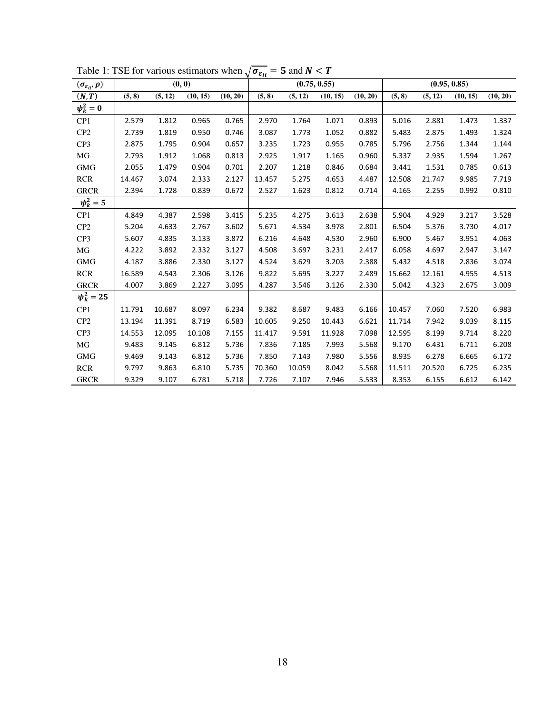| $(\sigma_{\varepsilon_{ij}}, \rho)$ |        | (0, 0)  |          |          | $\mathfrak{c}_u$ | (0.75, 0.55) |          |          |        |         | (0.95, 0.85) |          |
|-------------------------------------|--------|---------|----------|----------|------------------|--------------|----------|----------|--------|---------|--------------|----------|
| (N, T)                              | (5, 8) | (5, 12) | (10, 15) | (10, 20) | (5, 8)           | (5, 12)      | (10, 15) | (10, 20) | (5, 8) | (5, 12) | (10, 15)     | (10, 20) |
| $\psi_k^2=0$                        |        |         |          |          |                  |              |          |          |        |         |              |          |
| CP1                                 | 2.579  | 1.812   | 0.965    | 0.765    | 2.970            | 1.764        | 1.071    | 0.893    | 5.016  | 2.881   | 1.473        | 1.337    |
| CP <sub>2</sub>                     | 2.739  | 1.819   | 0.950    | 0.746    | 3.087            | 1.773        | 1.052    | 0.882    | 5.483  | 2.875   | 1.493        | 1.324    |
| CP <sub>3</sub>                     | 2.875  | 1.795   | 0.904    | 0.657    | 3.235            | 1.723        | 0.955    | 0.785    | 5.796  | 2.756   | 1.344        | 1.144    |
| MG                                  | 2.793  | 1.912   | 1.068    | 0.813    | 2.925            | 1.917        | 1.165    | 0.960    | 5.337  | 2.935   | 1.594        | 1.267    |
| <b>GMG</b>                          | 2.055  | 1.479   | 0.904    | 0.701    | 2.207            | 1.218        | 0.846    | 0.684    | 3.441  | 1.531   | 0.785        | 0.613    |
| <b>RCR</b>                          | 14.467 | 3.074   | 2.333    | 2.127    | 13.457           | 5.275        | 4.653    | 4.487    | 12.508 | 21.747  | 9.985        | 7.719    |
| <b>GRCR</b>                         | 2.394  | 1.728   | 0.839    | 0.672    | 2.527            | 1.623        | 0.812    | 0.714    | 4.165  | 2.255   | 0.992        | 0.810    |
| $\psi_k^2 = 5$                      |        |         |          |          |                  |              |          |          |        |         |              |          |
| CP1                                 | 4.849  | 4.387   | 2.598    | 3.415    | 5.235            | 4.275        | 3.613    | 2.638    | 5.904  | 4.929   | 3.217        | 3.528    |
| CP <sub>2</sub>                     | 5.204  | 4.633   | 2.767    | 3.602    | 5.671            | 4.534        | 3.978    | 2.801    | 6.504  | 5.376   | 3.730        | 4.017    |
| CP <sub>3</sub>                     | 5.607  | 4.835   | 3.133    | 3.872    | 6.216            | 4.648        | 4.530    | 2.960    | 6.900  | 5.467   | 3.951        | 4.063    |
| MG                                  | 4.222  | 3.892   | 2.332    | 3.127    | 4.508            | 3.697        | 3.231    | 2.417    | 6.058  | 4.697   | 2.947        | 3.147    |
| <b>GMG</b>                          | 4.187  | 3.886   | 2.330    | 3.127    | 4.524            | 3.629        | 3.203    | 2.388    | 5.432  | 4.518   | 2.836        | 3.074    |
| <b>RCR</b>                          | 16.589 | 4.543   | 2.306    | 3.126    | 9.822            | 5.695        | 3.227    | 2.489    | 15.662 | 12.161  | 4.955        | 4.513    |
| <b>GRCR</b>                         | 4.007  | 3.869   | 2.227    | 3.095    | 4.287            | 3.546        | 3.126    | 2.330    | 5.042  | 4.323   | 2.675        | 3.009    |
| $\psi_k^2 = 25$                     |        |         |          |          |                  |              |          |          |        |         |              |          |
| CP1                                 | 11.791 | 10.687  | 8.097    | 6.234    | 9.382            | 8.687        | 9.483    | 6.166    | 10.457 | 7.060   | 7.520        | 6.983    |
| CP <sub>2</sub>                     | 13.194 | 11.391  | 8.719    | 6.583    | 10.605           | 9.250        | 10.443   | 6.621    | 11.714 | 7.942   | 9.039        | 8.115    |
| CP3                                 | 14.553 | 12.095  | 10.108   | 7.155    | 11.417           | 9.591        | 11.928   | 7.098    | 12.595 | 8.199   | 9.714        | 8.220    |
| MG                                  | 9.483  | 9.145   | 6.812    | 5.736    | 7.836            | 7.185        | 7.993    | 5.568    | 9.170  | 6.431   | 6.711        | 6.208    |
| <b>GMG</b>                          | 9.469  | 9.143   | 6.812    | 5.736    | 7.850            | 7.143        | 7.980    | 5.556    | 8.935  | 6.278   | 6.665        | 6.172    |
| <b>RCR</b>                          | 9.797  | 9.863   | 6.810    | 5.735    | 70.360           | 10.059       | 8.042    | 5.568    | 11.511 | 20.520  | 6.725        | 6.235    |
| <b>GRCR</b>                         | 9.329  | 9.107   | 6.781    | 5.718    | 7.726            | 7.107        | 7.946    | 5.533    | 8.353  | 6.155   | 6.612        | 6.142    |

Table 1: TSE for various estimators when  $\sqrt{\sigma_{\epsilon_{ll}}}$  = 5 and  $N < T$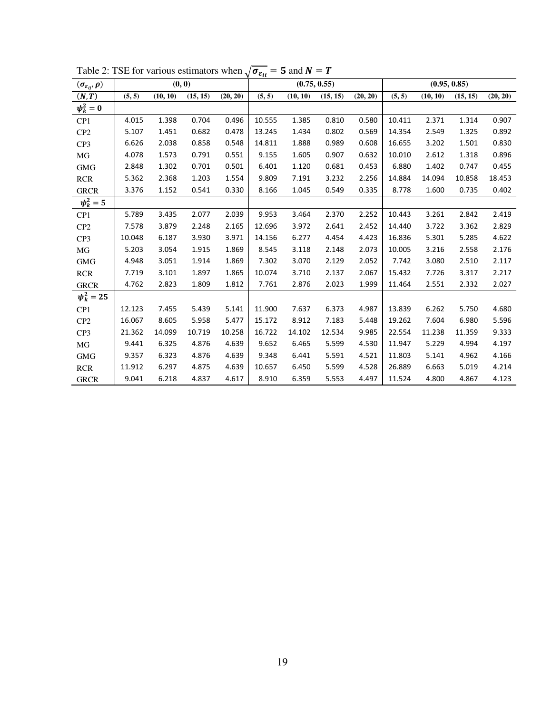| $(\sigma_{\varepsilon_{ij}}, \rho)$ |        | (0, 0)   |          |          | ∽ c <sub>ii</sub> | (0.75, 0.55) |          |          |        | (0.95, 0.85)<br>(5, 5)<br>(15, 15)<br>(10, 10)<br>10.411<br>2.371<br>1.314<br>1.325<br>14.354<br>2.549<br>16.655<br>3.202<br>1.501<br>2.612<br>10.010<br>1.318<br>6.880<br>1.402<br>0.747<br>14.884<br>14.094<br>10.858 |        |          |
|-------------------------------------|--------|----------|----------|----------|-------------------|--------------|----------|----------|--------|-------------------------------------------------------------------------------------------------------------------------------------------------------------------------------------------------------------------------|--------|----------|
| (N, T)                              | (5, 5) | (10, 10) | (15, 15) | (20, 20) | (5, 5)            | (10, 10)     | (15, 15) | (20, 20) |        |                                                                                                                                                                                                                         |        | (20, 20) |
| $\psi_k^2=0$                        |        |          |          |          |                   |              |          |          |        |                                                                                                                                                                                                                         |        |          |
| CP <sub>1</sub>                     | 4.015  | 1.398    | 0.704    | 0.496    | 10.555            | 1.385        | 0.810    | 0.580    |        |                                                                                                                                                                                                                         |        | 0.907    |
| CP <sub>2</sub>                     | 5.107  | 1.451    | 0.682    | 0.478    | 13.245            | 1.434        | 0.802    | 0.569    |        |                                                                                                                                                                                                                         |        | 0.892    |
| CP <sub>3</sub>                     | 6.626  | 2.038    | 0.858    | 0.548    | 14.811            | 1.888        | 0.989    | 0.608    |        |                                                                                                                                                                                                                         |        | 0.830    |
| MG                                  | 4.078  | 1.573    | 0.791    | 0.551    | 9.155             | 1.605        | 0.907    | 0.632    |        |                                                                                                                                                                                                                         |        | 0.896    |
| <b>GMG</b>                          | 2.848  | 1.302    | 0.701    | 0.501    | 6.401             | 1.120        | 0.681    | 0.453    |        |                                                                                                                                                                                                                         |        | 0.455    |
| <b>RCR</b>                          | 5.362  | 2.368    | 1.203    | 1.554    | 9.809             | 7.191        | 3.232    | 2.256    |        |                                                                                                                                                                                                                         |        | 18.453   |
| <b>GRCR</b>                         | 3.376  | 1.152    | 0.541    | 0.330    | 8.166             | 1.045        | 0.549    | 0.335    | 8.778  | 1.600                                                                                                                                                                                                                   | 0.735  | 0.402    |
| $\psi_k^2 = 5$                      |        |          |          |          |                   |              |          |          |        |                                                                                                                                                                                                                         |        |          |
| CP <sub>1</sub>                     | 5.789  | 3.435    | 2.077    | 2.039    | 9.953             | 3.464        | 2.370    | 2.252    | 10.443 | 3.261                                                                                                                                                                                                                   | 2.842  | 2.419    |
| CP <sub>2</sub>                     | 7.578  | 3.879    | 2.248    | 2.165    | 12.696            | 3.972        | 2.641    | 2.452    | 14.440 | 3.722                                                                                                                                                                                                                   | 3.362  | 2.829    |
| CP <sub>3</sub>                     | 10.048 | 6.187    | 3.930    | 3.971    | 14.156            | 6.277        | 4.454    | 4.423    | 16.836 | 5.301                                                                                                                                                                                                                   | 5.285  | 4.622    |
| MG                                  | 5.203  | 3.054    | 1.915    | 1.869    | 8.545             | 3.118        | 2.148    | 2.073    | 10.005 | 3.216                                                                                                                                                                                                                   | 2.558  | 2.176    |
| <b>GMG</b>                          | 4.948  | 3.051    | 1.914    | 1.869    | 7.302             | 3.070        | 2.129    | 2.052    | 7.742  | 3.080                                                                                                                                                                                                                   | 2.510  | 2.117    |
| <b>RCR</b>                          | 7.719  | 3.101    | 1.897    | 1.865    | 10.074            | 3.710        | 2.137    | 2.067    | 15.432 | 7.726                                                                                                                                                                                                                   | 3.317  | 2.217    |
| <b>GRCR</b>                         | 4.762  | 2.823    | 1.809    | 1.812    | 7.761             | 2.876        | 2.023    | 1.999    | 11.464 | 2.551                                                                                                                                                                                                                   | 2.332  | 2.027    |
| $\psi_k^2 = 25$                     |        |          |          |          |                   |              |          |          |        |                                                                                                                                                                                                                         |        |          |
| CP1                                 | 12.123 | 7.455    | 5.439    | 5.141    | 11.900            | 7.637        | 6.373    | 4.987    | 13.839 | 6.262                                                                                                                                                                                                                   | 5.750  | 4.680    |
| CP <sub>2</sub>                     | 16.067 | 8.605    | 5.958    | 5.477    | 15.172            | 8.912        | 7.183    | 5.448    | 19.262 | 7.604                                                                                                                                                                                                                   | 6.980  | 5.596    |
| CP <sub>3</sub>                     | 21.362 | 14.099   | 10.719   | 10.258   | 16.722            | 14.102       | 12.534   | 9.985    | 22.554 | 11.238                                                                                                                                                                                                                  | 11.359 | 9.333    |
| $\rm MG$                            | 9.441  | 6.325    | 4.876    | 4.639    | 9.652             | 6.465        | 5.599    | 4.530    | 11.947 | 5.229                                                                                                                                                                                                                   | 4.994  | 4.197    |
| <b>GMG</b>                          | 9.357  | 6.323    | 4.876    | 4.639    | 9.348             | 6.441        | 5.591    | 4.521    | 11.803 | 5.141                                                                                                                                                                                                                   | 4.962  | 4.166    |
| RCR                                 | 11.912 | 6.297    | 4.875    | 4.639    | 10.657            | 6.450        | 5.599    | 4.528    | 26.889 | 6.663                                                                                                                                                                                                                   | 5.019  | 4.214    |
| <b>GRCR</b>                         | 9.041  | 6.218    | 4.837    | 4.617    | 8.910             | 6.359        | 5.553    | 4.497    | 11.524 | 4.800                                                                                                                                                                                                                   | 4.867  | 4.123    |

Table 2: TSE for various estimators when  $\sqrt{\sigma_{\epsilon_{ii}}}$  = 5 and  $N = T$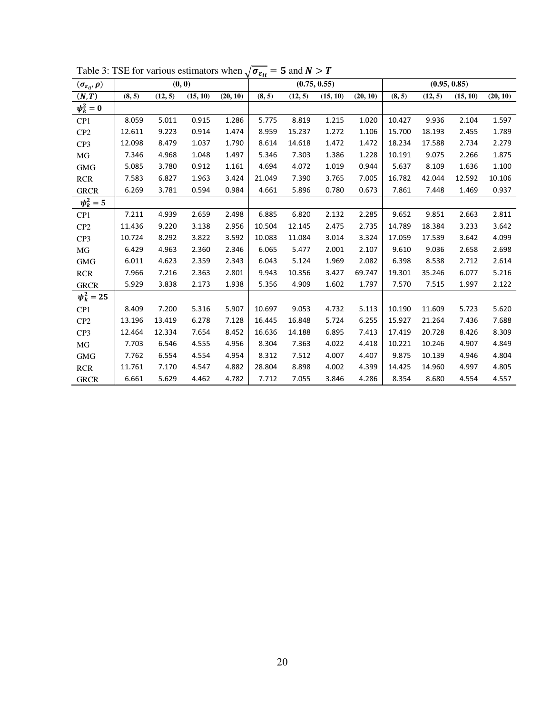| $(\sigma_{\varepsilon_{ij}}, \rho)$ |        |         | (0, 0)   |          | cu     |         | (0.75, 0.55) |          |        |         | (0.95, 0.85) |          |
|-------------------------------------|--------|---------|----------|----------|--------|---------|--------------|----------|--------|---------|--------------|----------|
| (N, T)                              | (8, 5) | (12, 5) | (15, 10) | (20, 10) | (8, 5) | (12, 5) | (15, 10)     | (20, 10) | (8, 5) | (12, 5) | (15, 10)     | (20, 10) |
| $\psi_k^2=0$                        |        |         |          |          |        |         |              |          |        |         |              |          |
| CP1                                 | 8.059  | 5.011   | 0.915    | 1.286    | 5.775  | 8.819   | 1.215        | 1.020    | 10.427 | 9.936   | 2.104        | 1.597    |
| CP2                                 | 12.611 | 9.223   | 0.914    | 1.474    | 8.959  | 15.237  | 1.272        | 1.106    | 15.700 | 18.193  | 2.455        | 1.789    |
| CP3                                 | 12.098 | 8.479   | 1.037    | 1.790    | 8.614  | 14.618  | 1.472        | 1.472    | 18.234 | 17.588  | 2.734        | 2.279    |
| MG                                  | 7.346  | 4.968   | 1.048    | 1.497    | 5.346  | 7.303   | 1.386        | 1.228    | 10.191 | 9.075   | 2.266        | 1.875    |
| <b>GMG</b>                          | 5.085  | 3.780   | 0.912    | 1.161    | 4.694  | 4.072   | 1.019        | 0.944    | 5.637  | 8.109   | 1.636        | 1.100    |
| <b>RCR</b>                          | 7.583  | 6.827   | 1.963    | 3.424    | 21.049 | 7.390   | 3.765        | 7.005    | 16.782 | 42.044  | 12.592       | 10.106   |
| <b>GRCR</b>                         | 6.269  | 3.781   | 0.594    | 0.984    | 4.661  | 5.896   | 0.780        | 0.673    | 7.861  | 7.448   | 1.469        | 0.937    |
| $\psi_k^2 = 5$                      |        |         |          |          |        |         |              |          |        |         |              |          |
| CP1                                 | 7.211  | 4.939   | 2.659    | 2.498    | 6.885  | 6.820   | 2.132        | 2.285    | 9.652  | 9.851   | 2.663        | 2.811    |
| CP <sub>2</sub>                     | 11.436 | 9.220   | 3.138    | 2.956    | 10.504 | 12.145  | 2.475        | 2.735    | 14.789 | 18.384  | 3.233        | 3.642    |
| CP3                                 | 10.724 | 8.292   | 3.822    | 3.592    | 10.083 | 11.084  | 3.014        | 3.324    | 17.059 | 17.539  | 3.642        | 4.099    |
| MG                                  | 6.429  | 4.963   | 2.360    | 2.346    | 6.065  | 5.477   | 2.001        | 2.107    | 9.610  | 9.036   | 2.658        | 2.698    |
| <b>GMG</b>                          | 6.011  | 4.623   | 2.359    | 2.343    | 6.043  | 5.124   | 1.969        | 2.082    | 6.398  | 8.538   | 2.712        | 2.614    |
| <b>RCR</b>                          | 7.966  | 7.216   | 2.363    | 2.801    | 9.943  | 10.356  | 3.427        | 69.747   | 19.301 | 35.246  | 6.077        | 5.216    |
| <b>GRCR</b>                         | 5.929  | 3.838   | 2.173    | 1.938    | 5.356  | 4.909   | 1.602        | 1.797    | 7.570  | 7.515   | 1.997        | 2.122    |
| $\psi_k^2 = 25$                     |        |         |          |          |        |         |              |          |        |         |              |          |
| CP1                                 | 8.409  | 7.200   | 5.316    | 5.907    | 10.697 | 9.053   | 4.732        | 5.113    | 10.190 | 11.609  | 5.723        | 5.620    |
| CP <sub>2</sub>                     | 13.196 | 13.419  | 6.278    | 7.128    | 16.445 | 16.848  | 5.724        | 6.255    | 15.927 | 21.264  | 7.436        | 7.688    |
| CP3                                 | 12.464 | 12.334  | 7.654    | 8.452    | 16.636 | 14.188  | 6.895        | 7.413    | 17.419 | 20.728  | 8.426        | 8.309    |
| MG                                  | 7.703  | 6.546   | 4.555    | 4.956    | 8.304  | 7.363   | 4.022        | 4.418    | 10.221 | 10.246  | 4.907        | 4.849    |
| <b>GMG</b>                          | 7.762  | 6.554   | 4.554    | 4.954    | 8.312  | 7.512   | 4.007        | 4.407    | 9.875  | 10.139  | 4.946        | 4.804    |
| <b>RCR</b>                          | 11.761 | 7.170   | 4.547    | 4.882    | 28.804 | 8.898   | 4.002        | 4.399    | 14.425 | 14.960  | 4.997        | 4.805    |
| <b>GRCR</b>                         | 6.661  | 5.629   | 4.462    | 4.782    | 7.712  | 7.055   | 3.846        | 4.286    | 8.354  | 8.680   | 4.554        | 4.557    |

Table 3: TSE for various estimators when  $\sqrt{\sigma_{\epsilon_{ll}}}$  = 5 and  $N > T$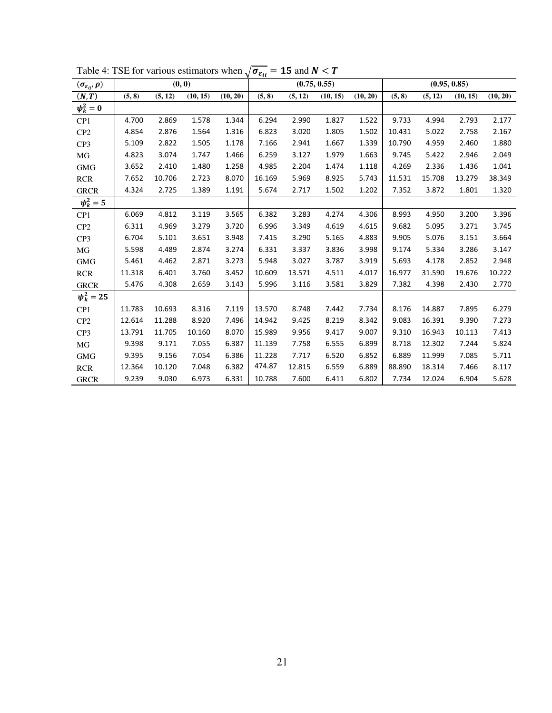| $(\sigma_{\varepsilon_{ij}}, \rho)$ |        | (0, 0)  |          |          | ~u     | (0.75, 0.55) |          |          |        | (0.95, 0.85) |          |          |
|-------------------------------------|--------|---------|----------|----------|--------|--------------|----------|----------|--------|--------------|----------|----------|
| (N, T)                              | (5, 8) | (5, 12) | (10, 15) | (10, 20) | (5, 8) | (5, 12)      | (10, 15) | (10, 20) | (5, 8) | (5, 12)      | (10, 15) | (10, 20) |
| $\psi_k^2=0$                        |        |         |          |          |        |              |          |          |        |              |          |          |
| CP1                                 | 4.700  | 2.869   | 1.578    | 1.344    | 6.294  | 2.990        | 1.827    | 1.522    | 9.733  | 4.994        | 2.793    | 2.177    |
| CP <sub>2</sub>                     | 4.854  | 2.876   | 1.564    | 1.316    | 6.823  | 3.020        | 1.805    | 1.502    | 10.431 | 5.022        | 2.758    | 2.167    |
| CP3                                 | 5.109  | 2.822   | 1.505    | 1.178    | 7.166  | 2.941        | 1.667    | 1.339    | 10.790 | 4.959        | 2.460    | 1.880    |
| MG                                  | 4.823  | 3.074   | 1.747    | 1.466    | 6.259  | 3.127        | 1.979    | 1.663    | 9.745  | 5.422        | 2.946    | 2.049    |
| <b>GMG</b>                          | 3.652  | 2.410   | 1.480    | 1.258    | 4.985  | 2.204        | 1.474    | 1.118    | 4.269  | 2.336        | 1.436    | 1.041    |
| <b>RCR</b>                          | 7.652  | 10.706  | 2.723    | 8.070    | 16.169 | 5.969        | 8.925    | 5.743    | 11.531 | 15.708       | 13.279   | 38.349   |
| <b>GRCR</b>                         | 4.324  | 2.725   | 1.389    | 1.191    | 5.674  | 2.717        | 1.502    | 1.202    | 7.352  | 3.872        | 1.801    | 1.320    |
| $\psi_k^2 = 5$                      |        |         |          |          |        |              |          |          |        |              |          |          |
| CP1                                 | 6.069  | 4.812   | 3.119    | 3.565    | 6.382  | 3.283        | 4.274    | 4.306    | 8.993  | 4.950        | 3.200    | 3.396    |
| CP <sub>2</sub>                     | 6.311  | 4.969   | 3.279    | 3.720    | 6.996  | 3.349        | 4.619    | 4.615    | 9.682  | 5.095        | 3.271    | 3.745    |
| CP <sub>3</sub>                     | 6.704  | 5.101   | 3.651    | 3.948    | 7.415  | 3.290        | 5.165    | 4.883    | 9.905  | 5.076        | 3.151    | 3.664    |
| MG                                  | 5.598  | 4.489   | 2.874    | 3.274    | 6.331  | 3.337        | 3.836    | 3.998    | 9.174  | 5.334        | 3.286    | 3.147    |
| <b>GMG</b>                          | 5.461  | 4.462   | 2.871    | 3.273    | 5.948  | 3.027        | 3.787    | 3.919    | 5.693  | 4.178        | 2.852    | 2.948    |
| <b>RCR</b>                          | 11.318 | 6.401   | 3.760    | 3.452    | 10.609 | 13.571       | 4.511    | 4.017    | 16.977 | 31.590       | 19.676   | 10.222   |
| <b>GRCR</b>                         | 5.476  | 4.308   | 2.659    | 3.143    | 5.996  | 3.116        | 3.581    | 3.829    | 7.382  | 4.398        | 2.430    | 2.770    |
| $\psi_k^2 = 25$                     |        |         |          |          |        |              |          |          |        |              |          |          |
| CP <sub>1</sub>                     | 11.783 | 10.693  | 8.316    | 7.119    | 13.570 | 8.748        | 7.442    | 7.734    | 8.176  | 14.887       | 7.895    | 6.279    |
| CP <sub>2</sub>                     | 12.614 | 11.288  | 8.920    | 7.496    | 14.942 | 9.425        | 8.219    | 8.342    | 9.083  | 16.391       | 9.390    | 7.273    |
| CP3                                 | 13.791 | 11.705  | 10.160   | 8.070    | 15.989 | 9.956        | 9.417    | 9.007    | 9.310  | 16.943       | 10.113   | 7.413    |
| MG                                  | 9.398  | 9.171   | 7.055    | 6.387    | 11.139 | 7.758        | 6.555    | 6.899    | 8.718  | 12.302       | 7.244    | 5.824    |
| <b>GMG</b>                          | 9.395  | 9.156   | 7.054    | 6.386    | 11.228 | 7.717        | 6.520    | 6.852    | 6.889  | 11.999       | 7.085    | 5.711    |
| <b>RCR</b>                          | 12.364 | 10.120  | 7.048    | 6.382    | 474.87 | 12.815       | 6.559    | 6.889    | 88.890 | 18.314       | 7.466    | 8.117    |
| <b>GRCR</b>                         | 9.239  | 9.030   | 6.973    | 6.331    | 10.788 | 7.600        | 6.411    | 6.802    | 7.734  | 12.024       | 6.904    | 5.628    |

Table 4: TSE for various estimators when  $\sqrt{\sigma_{\epsilon_{ii}}}$  = 15 and  $N < T$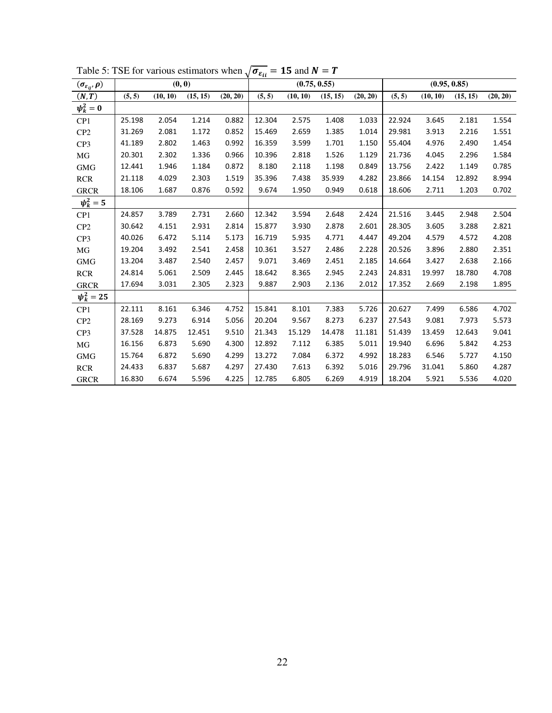| $(\sigma_{\varepsilon_{ij}}, \rho)$ |        | (0, 0)   |          |          | $\mathbf{u}$ | (0.75, 0.55) |          |          |        | (0.95, 0.85) |          |          |
|-------------------------------------|--------|----------|----------|----------|--------------|--------------|----------|----------|--------|--------------|----------|----------|
| (N, T)                              | (5, 5) | (10, 10) | (15, 15) | (20, 20) | (5, 5)       | (10, 10)     | (15, 15) | (20, 20) | (5, 5) | (10, 10)     | (15, 15) | (20, 20) |
| $\psi_k^2=0$                        |        |          |          |          |              |              |          |          |        |              |          |          |
| CP1                                 | 25.198 | 2.054    | 1.214    | 0.882    | 12.304       | 2.575        | 1.408    | 1.033    | 22.924 | 3.645        | 2.181    | 1.554    |
| CP <sub>2</sub>                     | 31.269 | 2.081    | 1.172    | 0.852    | 15.469       | 2.659        | 1.385    | 1.014    | 29.981 | 3.913        | 2.216    | 1.551    |
| CP3                                 | 41.189 | 2.802    | 1.463    | 0.992    | 16.359       | 3.599        | 1.701    | 1.150    | 55.404 | 4.976        | 2.490    | 1.454    |
| MG                                  | 20.301 | 2.302    | 1.336    | 0.966    | 10.396       | 2.818        | 1.526    | 1.129    | 21.736 | 4.045        | 2.296    | 1.584    |
| <b>GMG</b>                          | 12.441 | 1.946    | 1.184    | 0.872    | 8.180        | 2.118        | 1.198    | 0.849    | 13.756 | 2.422        | 1.149    | 0.785    |
| <b>RCR</b>                          | 21.118 | 4.029    | 2.303    | 1.519    | 35.396       | 7.438        | 35.939   | 4.282    | 23.866 | 14.154       | 12.892   | 8.994    |
| <b>GRCR</b>                         | 18.106 | 1.687    | 0.876    | 0.592    | 9.674        | 1.950        | 0.949    | 0.618    | 18.606 | 2.711        | 1.203    | 0.702    |
| $\psi_k^2 = 5$                      |        |          |          |          |              |              |          |          |        |              |          |          |
| CP1                                 | 24.857 | 3.789    | 2.731    | 2.660    | 12.342       | 3.594        | 2.648    | 2.424    | 21.516 | 3.445        | 2.948    | 2.504    |
| CP <sub>2</sub>                     | 30.642 | 4.151    | 2.931    | 2.814    | 15.877       | 3.930        | 2.878    | 2.601    | 28.305 | 3.605        | 3.288    | 2.821    |
| CP <sub>3</sub>                     | 40.026 | 6.472    | 5.114    | 5.173    | 16.719       | 5.935        | 4.771    | 4.447    | 49.204 | 4.579        | 4.572    | 4.208    |
| MG                                  | 19.204 | 3.492    | 2.541    | 2.458    | 10.361       | 3.527        | 2.486    | 2.228    | 20.526 | 3.896        | 2.880    | 2.351    |
| <b>GMG</b>                          | 13.204 | 3.487    | 2.540    | 2.457    | 9.071        | 3.469        | 2.451    | 2.185    | 14.664 | 3.427        | 2.638    | 2.166    |
| <b>RCR</b>                          | 24.814 | 5.061    | 2.509    | 2.445    | 18.642       | 8.365        | 2.945    | 2.243    | 24.831 | 19.997       | 18.780   | 4.708    |
| <b>GRCR</b>                         | 17.694 | 3.031    | 2.305    | 2.323    | 9.887        | 2.903        | 2.136    | 2.012    | 17.352 | 2.669        | 2.198    | 1.895    |
| $\psi_k^2 = 25$                     |        |          |          |          |              |              |          |          |        |              |          |          |
| CP1                                 | 22.111 | 8.161    | 6.346    | 4.752    | 15.841       | 8.101        | 7.383    | 5.726    | 20.627 | 7.499        | 6.586    | 4.702    |
| CP <sub>2</sub>                     | 28.169 | 9.273    | 6.914    | 5.056    | 20.204       | 9.567        | 8.273    | 6.237    | 27.543 | 9.081        | 7.973    | 5.573    |
| CP3                                 | 37.528 | 14.875   | 12.451   | 9.510    | 21.343       | 15.129       | 14.478   | 11.181   | 51.439 | 13.459       | 12.643   | 9.041    |
| MG                                  | 16.156 | 6.873    | 5.690    | 4.300    | 12.892       | 7.112        | 6.385    | 5.011    | 19.940 | 6.696        | 5.842    | 4.253    |
| <b>GMG</b>                          | 15.764 | 6.872    | 5.690    | 4.299    | 13.272       | 7.084        | 6.372    | 4.992    | 18.283 | 6.546        | 5.727    | 4.150    |
| <b>RCR</b>                          | 24.433 | 6.837    | 5.687    | 4.297    | 27.430       | 7.613        | 6.392    | 5.016    | 29.796 | 31.041       | 5.860    | 4.287    |
| <b>GRCR</b>                         | 16.830 | 6.674    | 5.596    | 4.225    | 12.785       | 6.805        | 6.269    | 4.919    | 18.204 | 5.921        | 5.536    | 4.020    |

Table 5: TSE for various estimators when  $\sqrt{\sigma_{\varepsilon_{ii}}}$  = 15 and  $N = T$